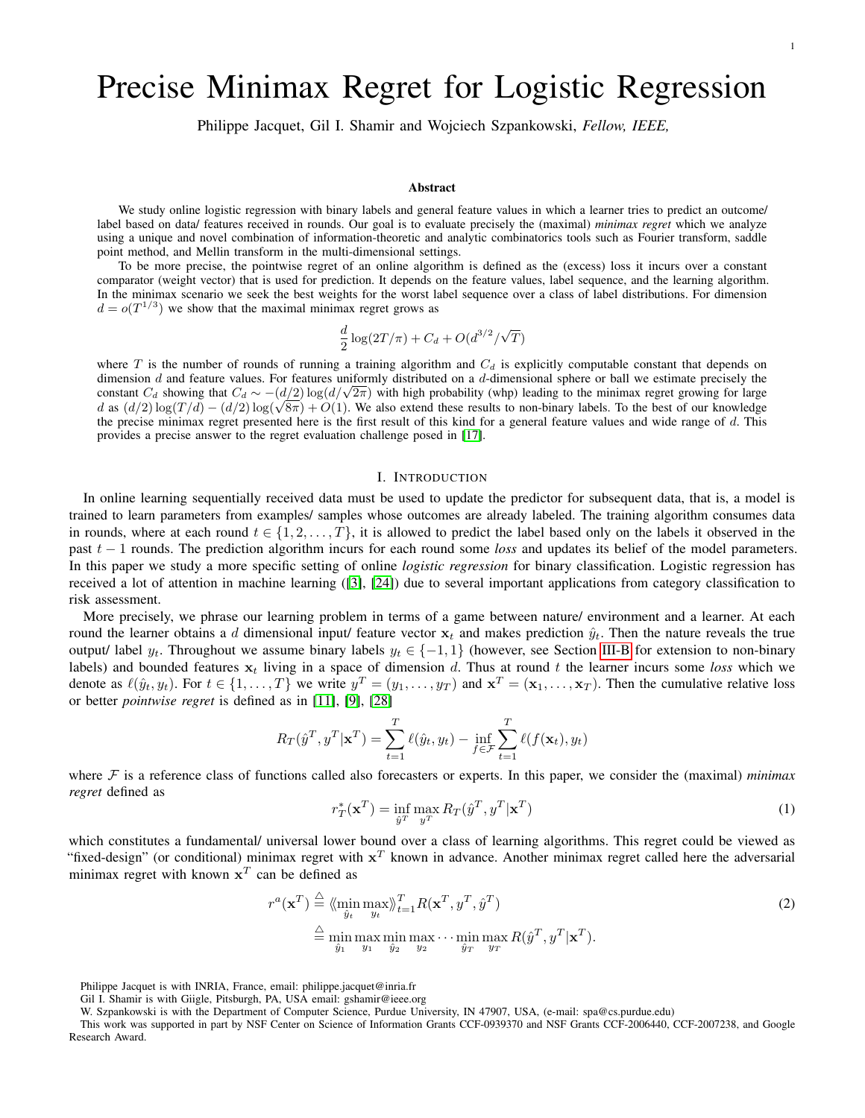# Precise Minimax Regret for Logistic Regression

Philippe Jacquet, Gil I. Shamir and Wojciech Szpankowski, *Fellow, IEEE,*

## Abstract

We study online logistic regression with binary labels and general feature values in which a learner tries to predict an outcome/ label based on data/ features received in rounds. Our goal is to evaluate precisely the (maximal) *minimax regret* which we analyze using a unique and novel combination of information-theoretic and analytic combinatorics tools such as Fourier transform, saddle point method, and Mellin transform in the multi-dimensional settings.

To be more precise, the pointwise regret of an online algorithm is defined as the (excess) loss it incurs over a constant comparator (weight vector) that is used for prediction. It depends on the feature values, label sequence, and the learning algorithm. In the minimax scenario we seek the best weights for the worst label sequence over a class of label distributions. For dimension  $d = o(T^{1/3})$  we show that the maximal minimax regret grows as

$$
\frac{d}{2}\log(2T/\pi) + C_d + O(d^{3/2}/\sqrt{T})
$$

where  $T$  is the number of rounds of running a training algorithm and  $C_d$  is explicitly computable constant that depends on dimension  $d$  and feature values. For features uniformly distributed on a  $d$ -dimensional sphere or ball we estimate precisely the dimension d and feature values. For features uniformly distributed on a d-dimensional sphere or ball we estimate precisely the constant  $C_d$  showing that  $C_d \sim -(d/2) \log(d/\sqrt{2\pi})$  with high probability (whp) leading to the mi constant  $C_d$  showing that  $C_d \sim -(d/2) \log(d/\sqrt{2\pi})$  with high probability (whp) leading to the minimax regret growing for large d as  $(d/2) \log(T/d) - (d/2) \log(\sqrt{8\pi}) + O(1)$ . We also extend these results to non-binary labels. To the the precise minimax regret presented here is the first result of this kind for a general feature values and wide range of  $d$ . This provides a precise answer to the regret evaluation challenge posed in [\[17\]](#page-12-0).

### I. INTRODUCTION

In online learning sequentially received data must be used to update the predictor for subsequent data, that is, a model is trained to learn parameters from examples/ samples whose outcomes are already labeled. The training algorithm consumes data in rounds, where at each round  $t \in \{1, 2, ..., T\}$ , it is allowed to predict the label based only on the labels it observed in the past t − 1 rounds. The prediction algorithm incurs for each round some *loss* and updates its belief of the model parameters. In this paper we study a more specific setting of online *logistic regression* for binary classification. Logistic regression has received a lot of attention in machine learning ([\[3\]](#page-12-1), [\[24\]](#page-12-2)) due to several important applications from category classification to risk assessment.

More precisely, we phrase our learning problem in terms of a game between nature/ environment and a learner. At each round the learner obtains a d dimensional input/ feature vector  $x_t$  and makes prediction  $\hat{y}_t$ . Then the nature reveals the true output/ label  $y_t$ . Throughout we assume binary labels  $y_t \in \{-1,1\}$  (however, see Section [III-B](#page-5-0) for extension to non-binary labels) and bounded features  $x_t$  living in a space of dimension d. Thus at round t the learner incurs some loss which we denote as  $\ell(\hat{y}_t, y_t)$ . For  $t \in \{1, ..., T\}$  we write  $y^T = (y_1, ..., y_T)$  and  $\mathbf{x}^T = (\mathbf{x}_1, ..., \mathbf{x}_T)$ . Then the cumulative relative loss or better *pointwise regret* is defined as in [\[11\]](#page-12-3), [\[9\]](#page-12-4), [\[28\]](#page-12-5)

$$
R_T(\hat{y}^T, y^T | \mathbf{x}^T) = \sum_{t=1}^T \ell(\hat{y}_t, y_t) - \inf_{f \in \mathcal{F}} \sum_{t=1}^T \ell(f(\mathbf{x}_t), y_t)
$$

where  $\mathcal F$  is a reference class of functions called also forecasters or experts. In this paper, we consider the (maximal) *minimax regret* defined as

$$
r_T^*(\mathbf{x}^T) = \inf_{\hat{y}^T} \max_{y^T} R_T(\hat{y}^T, y^T | \mathbf{x}^T)
$$
\n(1)

which constitutes a fundamental/ universal lower bound over a class of learning algorithms. This regret could be viewed as "fixed-design" (or conditional) minimax regret with  $x^T$  known in advance. Another minimax regret called here the adversarial minimax regret with known  $x<sup>T</sup>$  can be defined as

$$
r^{a}(\mathbf{x}^{T}) \stackrel{\triangle}{=} \langle \min_{\hat{y}_{t}} \max_{y_{t}} \rangle_{t=1}^{T} R(\mathbf{x}^{T}, y^{T}, \hat{y}^{T})
$$
  
\n
$$
\stackrel{\triangle}{=} \min_{\hat{y}_{1}} \max_{y_{1}} \min_{\hat{y}_{2}} \max_{y_{2}} \dots \min_{\hat{y}_{T}} \max_{y_{T}} R(\hat{y}^{T}, y^{T} | \mathbf{x}^{T}).
$$
\n(2)

Philippe Jacquet is with INRIA, France, email: philippe.jacquet@inria.fr

Gil I. Shamir is with Giigle, Pitsburgh, PA, USA email: gshamir@ieee.org

W. Szpankowski is with the Department of Computer Science, Purdue University, IN 47907, USA, (e-mail: spa@cs.purdue.edu)

This work was supported in part by NSF Center on Science of Information Grants CCF-0939370 and NSF Grants CCF-2006440, CCF-2007238, and Google Research Award.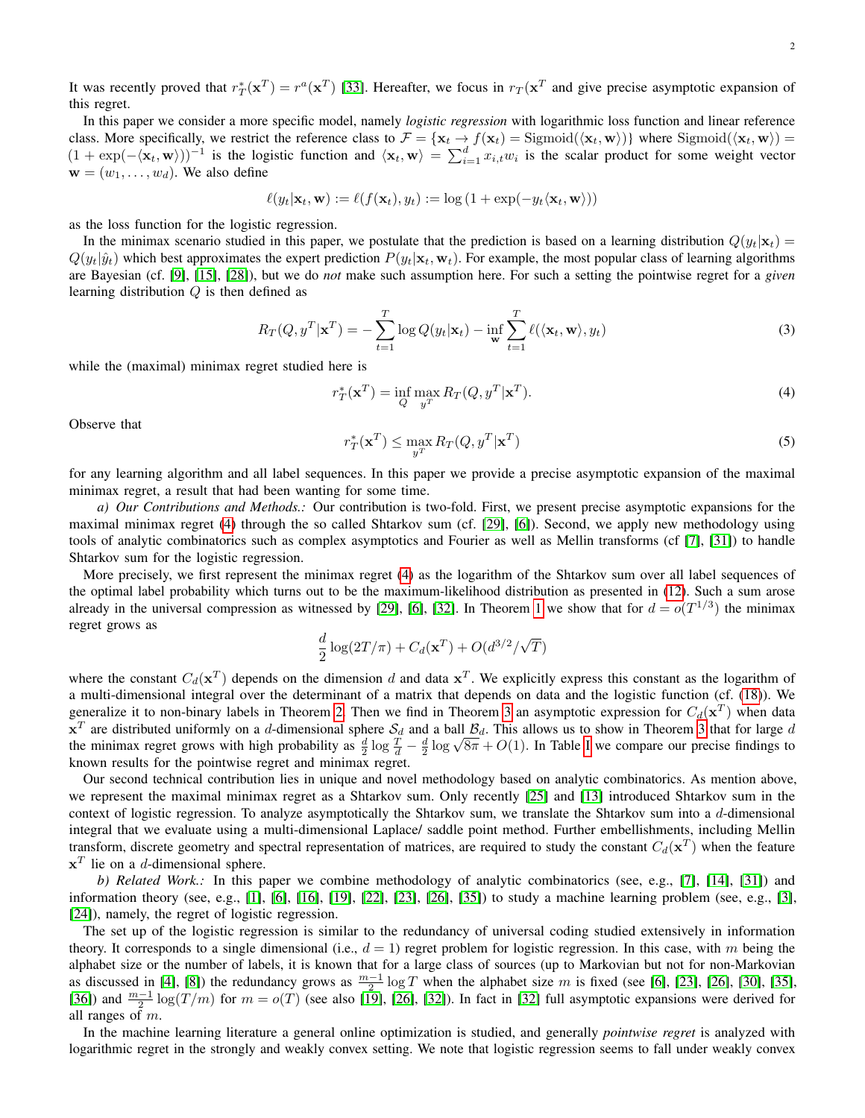It was recently proved that  $r_T^*(\mathbf{x}^T) = r^a(\mathbf{x}^T)$  [\[33\]](#page-12-6). Hereafter, we focus in  $r_T(\mathbf{x}^T)$  and give precise asymptotic expansion of this regret.

In this paper we consider a more specific model, namely *logistic regression* with logarithmic loss function and linear reference class. More specifically, we restrict the reference class to  $\mathcal{F} = {\mathbf{x}_t \to f(\mathbf{x}_t) = \text{Sigmoid}(\langle \mathbf{x}_t, \mathbf{w} \rangle)}$  where  $\text{Sigmoid}(\langle \mathbf{x}_t, \mathbf{w} \rangle) =$  $(1 + \exp(-\langle \mathbf{x}_t, \mathbf{w} \rangle))^{-1}$  is the logistic function and  $\langle \mathbf{x}_t, \mathbf{w} \rangle = \sum_{i=1}^d x_{i,t} w_i$  is the scalar product for some weight vector  $\mathbf{w} = (w_1, \dots, w_d)$ . We also define

$$
\ell(y_t|\mathbf{x}_t,\mathbf{w}) := \ell(f(\mathbf{x}_t), y_t) := \log(1 + \exp(-y_t\langle \mathbf{x}_t, \mathbf{w} \rangle))
$$

as the loss function for the logistic regression.

In the minimax scenario studied in this paper, we postulate that the prediction is based on a learning distribution  $Q(y_t|\mathbf{x}_t)$  =  $Q(y_t|\hat{y}_t)$  which best approximates the expert prediction  $P(y_t|\mathbf{x}_t, \mathbf{w}_t)$ . For example, the most popular class of learning algorithms are Bayesian (cf. [\[9\]](#page-12-4), [\[15\]](#page-12-7), [\[28\]](#page-12-5)), but we do *not* make such assumption here. For such a setting the pointwise regret for a *given* learning distribution  $Q$  is then defined as

<span id="page-1-2"></span>
$$
R_T(Q, y^T | \mathbf{x}^T) = -\sum_{t=1}^T \log Q(y_t | \mathbf{x}_t) - \inf_{\mathbf{w}} \sum_{t=1}^T \ell(\langle \mathbf{x}_t, \mathbf{w} \rangle, y_t)
$$
(3)

while the (maximal) minimax regret studied here is

<span id="page-1-0"></span>
$$
r_T^*(\mathbf{x}^T) = \inf_{Q} \max_{y^T} R_T(Q, y^T | \mathbf{x}^T).
$$
\n(4)

<span id="page-1-1"></span>Observe that

$$
r_T^*(\mathbf{x}^T) \le \max_{y^T} R_T(Q, y^T | \mathbf{x}^T)
$$
\n(5)

for any learning algorithm and all label sequences. In this paper we provide a precise asymptotic expansion of the maximal minimax regret, a result that had been wanting for some time.

*a) Our Contributions and Methods.:* Our contribution is two-fold. First, we present precise asymptotic expansions for the maximal minimax regret [\(4\)](#page-1-0) through the so called Shtarkov sum (cf. [\[29\]](#page-12-8), [\[6\]](#page-12-9)). Second, we apply new methodology using tools of analytic combinatorics such as complex asymptotics and Fourier as well as Mellin transforms (cf [\[7\]](#page-12-10), [\[31\]](#page-12-11)) to handle Shtarkov sum for the logistic regression.

More precisely, we first represent the minimax regret [\(4\)](#page-1-0) as the logarithm of the Shtarkov sum over all label sequences of the optimal label probability which turns out to be the maximum-likelihood distribution as presented in [\(12\)](#page-3-0). Such a sum arose already in the universal compression as witnessed by [\[29\]](#page-12-8), [\[6\]](#page-12-9), [\[32\]](#page-12-12). In Theorem [1](#page-4-0) we show that for  $d = o(T^{1/3})$  the minimax regret grows as

$$
\frac{d}{2}\log(2T/\pi)+C_d(\mathbf{x}^T)+O(d^{3/2}/\sqrt{T})
$$

where the constant  $C_d(\mathbf{x}^T)$  depends on the dimension d and data  $\mathbf{x}^T$ . We explicitly express this constant as the logarithm of a multi-dimensional integral over the determinant of a matrix that depends on data and the logistic function (cf. [\(18\)](#page-4-1)). We generalize it to non-binary labels in Theorem [2.](#page-5-1) Then we find in Theorem [3](#page-6-0) an asymptotic expression for  $C_d(\mathbf{x}^T)$  when data  $x^T$  are distributed uniformly on a d-dimensional sphere  $S_d$  and a ball  $B_d$ . This allows us to show in Theorem [3](#page-6-0) that for large d x<sup>-</sup> are distributed uniformly on a a-dimensional sphere  $S_d$  and a ball  $B_d$ . This allows us to show in Theorem 3 that for large a the minimax regret grows with high probability as  $\frac{d}{2} \log \frac{T}{d} - \frac{d}{2} \log \sqrt{8\pi} + O(1)$ known results for the pointwise regret and minimax regret.

Our second technical contribution lies in unique and novel methodology based on analytic combinatorics. As mention above, we represent the maximal minimax regret as a Shtarkov sum. Only recently [\[25\]](#page-12-13) and [\[13\]](#page-12-14) introduced Shtarkov sum in the context of logistic regression. To analyze asymptotically the Shtarkov sum, we translate the Shtarkov sum into a  $d$ -dimensional integral that we evaluate using a multi-dimensional Laplace/ saddle point method. Further embellishments, including Mellin transform, discrete geometry and spectral representation of matrices, are required to study the constant  $C_d(\mathbf{x}^T)$  when the feature  $x<sup>T</sup>$  lie on a d-dimensional sphere.

*b) Related Work.:* In this paper we combine methodology of analytic combinatorics (see, e.g., [\[7\]](#page-12-10), [\[14\]](#page-12-15), [\[31\]](#page-12-11)) and information theory (see, e.g., [\[1\]](#page-12-16), [\[6\]](#page-12-9), [\[16\]](#page-12-17), [\[19\]](#page-12-18), [\[22\]](#page-12-19), [\[23\]](#page-12-20), [\[26\]](#page-12-21), [\[35\]](#page-12-22)) to study a machine learning problem (see, e.g., [\[3\]](#page-12-1), [\[24\]](#page-12-2)), namely, the regret of logistic regression.

The set up of the logistic regression is similar to the redundancy of universal coding studied extensively in information theory. It corresponds to a single dimensional (i.e.,  $d = 1$ ) regret problem for logistic regression. In this case, with m being the alphabet size or the number of labels, it is known that for a large class of sources (up to Markovian but not for non-Markovian as discussed in [\[4\]](#page-12-23), [\[8\]](#page-12-24)) the redundancy grows as  $\frac{m-1}{2} \log T$  when the alphabet size m is fixed (see [\[6\]](#page-12-9), [\[23\]](#page-12-20), [\[26\]](#page-12-21), [\[30\]](#page-12-25), [\[35\]](#page-12-22), [\[36\]](#page-12-26)) and  $\frac{m-1}{2} \log(T/m)$  for  $m = o(T)$  (see also [\[19\]](#page-12-18), [\[26\]](#page-12-21), [\[32\]](#page-12-12)). In fact in [32] full asymptotic expansions were derived for all ranges of  $m$ .

In the machine learning literature a general online optimization is studied, and generally *pointwise regret* is analyzed with logarithmic regret in the strongly and weakly convex setting. We note that logistic regression seems to fall under weakly convex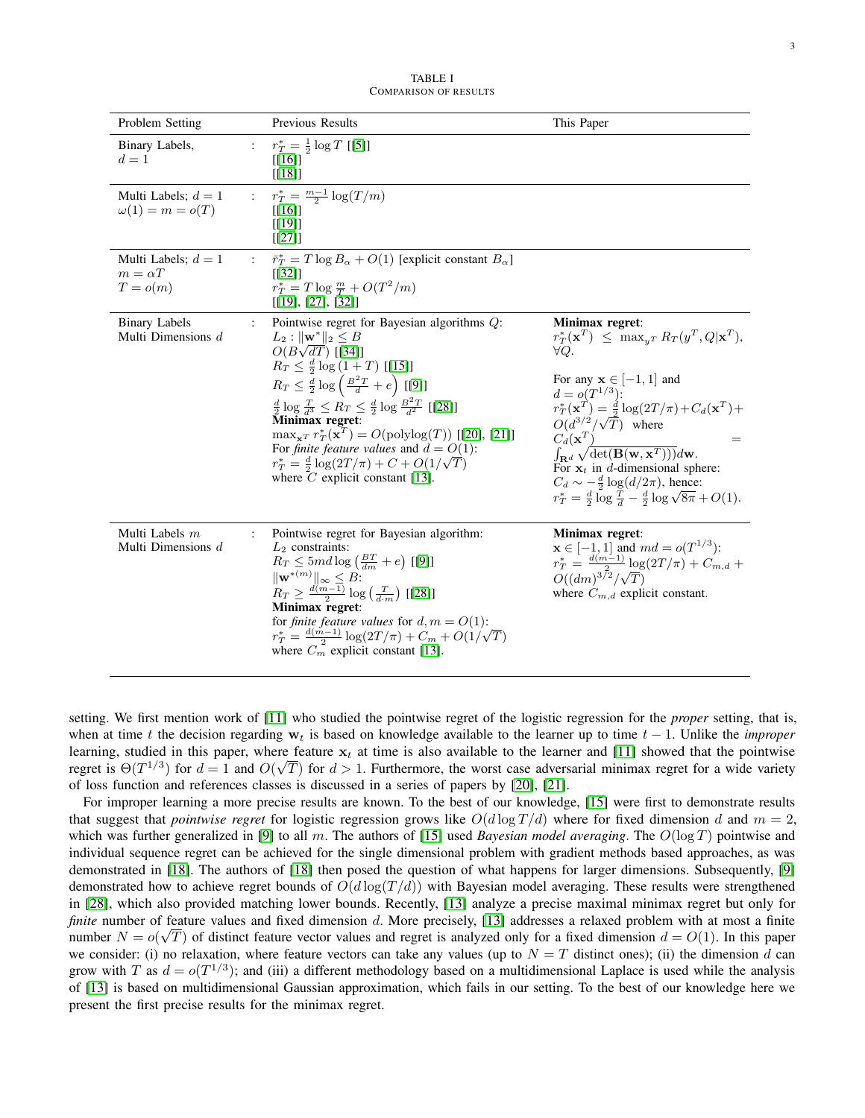| TABLE I                      |  |  |  |  |
|------------------------------|--|--|--|--|
| <b>COMPARISON OF RESULTS</b> |  |  |  |  |

| Problem Setting                                       |                      | Previous Results                                                                                                                                                                                                                                                                                                                                                                                                                                                                                                                                                                             | This Paper                                                                                                                                                                                                                                                                                                                                                                                                                                                                                                                                                              |
|-------------------------------------------------------|----------------------|----------------------------------------------------------------------------------------------------------------------------------------------------------------------------------------------------------------------------------------------------------------------------------------------------------------------------------------------------------------------------------------------------------------------------------------------------------------------------------------------------------------------------------------------------------------------------------------------|-------------------------------------------------------------------------------------------------------------------------------------------------------------------------------------------------------------------------------------------------------------------------------------------------------------------------------------------------------------------------------------------------------------------------------------------------------------------------------------------------------------------------------------------------------------------------|
| Binary Labels,<br>$d=1$                               |                      | $r_T^* = \frac{1}{2} \log T$ [[5]]<br>$[[16]]$<br>[[18]]                                                                                                                                                                                                                                                                                                                                                                                                                                                                                                                                     |                                                                                                                                                                                                                                                                                                                                                                                                                                                                                                                                                                         |
| Multi Labels; $d = 1$<br>$\omega(1) = m = o(T)$       | $\mathbf{L}$         | $r_T^* = \frac{m-1}{2} \log(T/m)$<br>$[[16]]$<br>[[19]]<br>[[27]]                                                                                                                                                                                                                                                                                                                                                                                                                                                                                                                            |                                                                                                                                                                                                                                                                                                                                                                                                                                                                                                                                                                         |
| Multi Labels; $d = 1$<br>$m = \alpha T$<br>$T = o(m)$ | $\ddot{\phantom{a}}$ | $\bar{r}_T^* = T \log B_\alpha + O(1)$ [explicit constant $B_\alpha$ ]<br>[132]<br>$r_T^* = T \log \frac{m}{T} + O(T^2/m)$<br>[[19], [27], [32]]                                                                                                                                                                                                                                                                                                                                                                                                                                             |                                                                                                                                                                                                                                                                                                                                                                                                                                                                                                                                                                         |
| <b>Binary Labels</b><br>Multi Dimensions $d$          |                      | Pointwise regret for Bayesian algorithms Q:<br>$L_2:   \mathbf{w}^*  _2 \leq B$<br>$O(B\sqrt{dT})$ [[34]]<br>$R_T \leq \frac{d}{2} \log (1+T)$ [[15]]<br>$R_T \leq \frac{d}{2} \log \left( \frac{B^2 T}{d} + e \right)$ [[9]]<br>$\frac{d}{2} \log \frac{T}{d^3} \leq R_T \leq \frac{d}{2} \log \frac{B^2 T}{d^2}$ [[28]]<br>Minimax regret:<br>$\max_{\mathbf{x}^T} r_T^*(\mathbf{x}^T) = O(\text{polylog}(T))$ [[20], [21]]<br>For <i>finite feature values</i> and $d = O(1)$ :<br>$r_T^* = \frac{d}{2} \log(2T/\pi) + C + O(1/\sqrt{T})$<br>where $\overline{C}$ explicit constant [13]. | Minimax regret:<br>$r_T^*(\mathbf{x}^T) \leq \max_{y^T} R_T(y^T, Q   \mathbf{x}^T),$<br>$\forall Q.$<br>For any $\mathbf{x} \in [-1, 1]$ and<br>$d = o(T^{1/3})$ :<br>$r_T^*(\mathbf{x}^T) = \frac{d}{2} \log(2T/\pi) + C_d(\mathbf{x}^T) +$<br>$O(d^{3/2}/\sqrt{T})$ where $C_d(\mathbf{x}^T)$<br>$=$<br>$\int_{\mathbf{R}^d} \sqrt{\det(\mathbf{B}(\mathbf{w}, \mathbf{x}^T)))} d\mathbf{w}.$<br>For $x_t$ in d-dimensional sphere:<br>$C_d \sim -\frac{d}{2} \log(d/2\pi)$ , hence:<br>$r_T^* = \frac{d}{2} \log \frac{T}{d} - \frac{d}{2} \log \sqrt{8\pi} + O(1).$ |
| Multi Labels $m$<br>Multi Dimensions $d$              |                      | Pointwise regret for Bayesian algorithm:<br>$L_2$ constraints:<br>$R_T \leq 5md \log \left( \frac{BT}{dm} + e \right)$ [[9]]<br>$\ \mathbf{w}^{*(m)}\ _{\infty} \leq B$ :<br>$R_T \geq \frac{d(m-1)}{2} \log\left(\frac{T}{d \cdot m}\right)$ [[28]]<br>Minimax regret:<br>for finite feature values for $d, m = O(1)$ :<br>$r_T^* = \frac{d(m-1)}{2} \log(2T/\pi) + C_m + O(1/\sqrt{T})$<br>where $C_m$ explicit constant [13].                                                                                                                                                             | Minimax regret:<br>$x \in [-1, 1]$ and $md = o(T^{1/3})$ :<br>$r_T^* = \frac{d(m-1)}{2} \log(2T/\pi) + C_{m,d} + O((dm)^{3/2}/\sqrt{T})$<br>where $\acute{C}_{m,d}$ explicit constant.                                                                                                                                                                                                                                                                                                                                                                                  |

setting. We first mention work of [\[11\]](#page-12-3) who studied the pointwise regret of the logistic regression for the *proper* setting, that is, when at time t the decision regarding  $w_t$  is based on knowledge available to the learner up to time  $t - 1$ . Unlike the *improper* learning, studied in this paper, where feature  $x_t$  at time is also available to the learner and [\[11\]](#page-12-3) showed that the pointwise regret is  $\Theta(T^{1/3})$  for  $d=1$  and  $O(\sqrt{T})$  for  $d>1$ . Furthermore, the worst case adversarial minimax regret for a wide variety of loss function and references classes is discussed in a series of papers by [\[20\]](#page-12-31), [\[21\]](#page-12-32).

For improper learning a more precise results are known. To the best of our knowledge, [\[15\]](#page-12-7) were first to demonstrate results that suggest that *pointwise regret* for logistic regression grows like  $O(d \log T/d)$  where for fixed dimension d and  $m = 2$ , which was further generalized in [\[9\]](#page-12-4) to all m. The authors of [\[15\]](#page-12-7) used *Bayesian model averaging*. The  $O(\log T)$  pointwise and individual sequence regret can be achieved for the single dimensional problem with gradient methods based approaches, as was demonstrated in [\[18\]](#page-12-28). The authors of [\[18\]](#page-12-28) then posed the question of what happens for larger dimensions. Subsequently, [\[9\]](#page-12-4) demonstrated how to achieve regret bounds of  $O(d \log(T/d))$  with Bayesian model averaging. These results were strengthened in [\[28\]](#page-12-5), which also provided matching lower bounds. Recently, [\[13\]](#page-12-14) analyze a precise maximal minimax regret but only for *finite* number of feature values and fixed dimension d. More precisely, [\[13\]](#page-12-14) addresses a relaxed problem with at most a finite number  $N = o(\sqrt{T})$  of distinct feature vector values and regret is analyzed only for a fixed dimension  $d = O(1)$ . In this paper we consider: (i) no relaxation, where feature vectors can take any values (up to  $N = T$  distinct ones); (ii) the dimension d can grow with T as  $d = o(T^{1/3})$ ; and (iii) a different methodology based on a multidimensional Laplace is used while the analysis of [\[13\]](#page-12-14) is based on multidimensional Gaussian approximation, which fails in our setting. To the best of our knowledge here we present the first precise results for the minimax regret.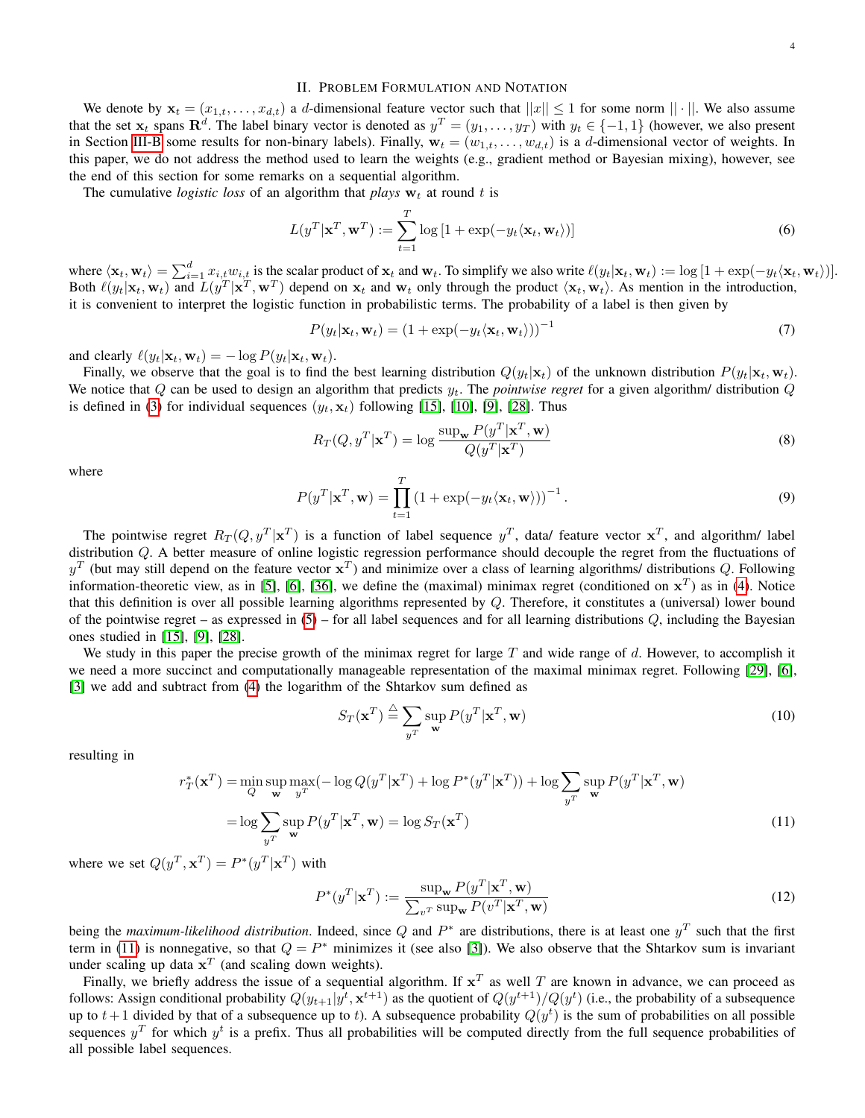We denote by  $\mathbf{x}_t = (x_{1,t}, \dots, x_{d,t})$  a d-dimensional feature vector such that  $||x|| \le 1$  for some norm  $|| \cdot ||$ . We also assume that the set  $x_t$  spans  $\mathbb{R}^d$ . The label binary vector is denoted as  $y^T = (y_1, \ldots, y_T)$  with  $y_t \in \{-1, 1\}$  (however, we also present in Section [III-B](#page-5-0) some results for non-binary labels). Finally,  $w_t = (w_{1,t}, \ldots, w_{d,t})$  is a d-dimensional vector of weights. In this paper, we do not address the method used to learn the weights (e.g., gradient method or Bayesian mixing), however, see the end of this section for some remarks on a sequential algorithm.

The cumulative *logistic loss* of an algorithm that *plays*  $w_t$  at round t is

$$
L(y^T|\mathbf{x}^T, \mathbf{w}^T) := \sum_{t=1}^T \log\left[1 + \exp(-y_t \langle \mathbf{x}_t, \mathbf{w}_t \rangle)\right]
$$
(6)

where  $\langle \mathbf{x}_t, \mathbf{w}_t \rangle = \sum_{i=1}^d x_{i,t} w_{i,t}$  is the scalar product of  $\mathbf{x}_t$  and  $\mathbf{w}_t$ . To simplify we also write  $\ell(y_t|\mathbf{x}_t, \mathbf{w}_t) := \log [1 + \exp(-y_t \langle \mathbf{x}_t, \mathbf{w}_t \rangle)].$ Both  $\ell(y_t|\mathbf{x}_t, \mathbf{w}_t)$  and  $\bar{L}(y^T|\mathbf{x}^T, \mathbf{w}^T)$  depend on  $\mathbf{x}_t$  and  $\mathbf{w}_t$  only through the product  $\langle \mathbf{x}_t, \mathbf{w}_t \rangle$ . As mention in the introduction, it is convenient to interpret the logistic function in probabilistic terms. The probability of a label is then given by

$$
P(y_t|\mathbf{x}_t, \mathbf{w}_t) = (1 + \exp(-y_t \langle \mathbf{x}_t, \mathbf{w}_t \rangle))^{-1}
$$
\n(7)

and clearly  $\ell(y_t|\mathbf{x}_t, \mathbf{w}_t) = -\log P(y_t|\mathbf{x}_t, \mathbf{w}_t).$ 

Finally, we observe that the goal is to find the best learning distribution  $Q(y_t|\mathbf{x}_t)$  of the unknown distribution  $P(y_t|\mathbf{x}_t, \mathbf{w}_t)$ . We notice that  $Q$  can be used to design an algorithm that predicts  $y_t$ . The *pointwise regret* for a given algorithm/ distribution  $Q$ is defined in [\(3\)](#page-1-2) for individual sequences  $(y_t, x_t)$  following [\[15\]](#page-12-7), [\[10\]](#page-12-33), [\[9\]](#page-12-4), [\[28\]](#page-12-5). Thus

$$
R_T(Q, y^T | \mathbf{x}^T) = \log \frac{\sup_{\mathbf{w}} P(y^T | \mathbf{x}^T, \mathbf{w})}{Q(y^T | \mathbf{x}^T)}
$$
(8)

<span id="page-3-3"></span>where

$$
P(y^T|\mathbf{x}^T,\mathbf{w}) = \prod_{t=1}^T (1 + \exp(-y_t \langle \mathbf{x}_t, \mathbf{w} \rangle))^{-1}.
$$
\n(9)

The pointwise regret  $R_T(Q, y^T | \mathbf{x}^T)$  is a function of label sequence  $y^T$ , data/ feature vector  $\mathbf{x}^T$ , and algorithm/ label distribution Q. A better measure of online logistic regression performance should decouple the regret from the fluctuations of  $y^T$  (but may still depend on the feature vector  $x^T$ ) and minimize over a class of learning algorithms/ distributions Q. Following information-theoretic view, as in [\[5\]](#page-12-27), [\[6\]](#page-12-9), [\[36\]](#page-12-26), we define the (maximal) minimax regret (conditioned on  $x^T$ ) as in [\(4\)](#page-1-0). Notice that this definition is over all possible learning algorithms represented by  $Q$ . Therefore, it constitutes a (universal) lower bound of the pointwise regret – as expressed in  $(5)$  – for all label sequences and for all learning distributions  $Q$ , including the Bayesian ones studied in [\[15\]](#page-12-7), [\[9\]](#page-12-4), [\[28\]](#page-12-5).

We study in this paper the precise growth of the minimax regret for large  $T$  and wide range of  $d$ . However, to accomplish it we need a more succinct and computationally manageable representation of the maximal minimax regret. Following [\[29\]](#page-12-8), [\[6\]](#page-12-9), [\[3\]](#page-12-1) we add and subtract from [\(4\)](#page-1-0) the logarithm of the Shtarkov sum defined as

<span id="page-3-2"></span><span id="page-3-1"></span>
$$
S_T(\mathbf{x}^T) \stackrel{\Delta}{=} \sum_{y^T} \sup_{\mathbf{w}} P(y^T | \mathbf{x}^T, \mathbf{w})
$$
(10)

resulting in

$$
r_T^*(\mathbf{x}^T) = \min_{Q} \sup_{\mathbf{w}} \max_{y^T} (-\log Q(y^T | \mathbf{x}^T) + \log P^*(y^T | \mathbf{x}^T)) + \log \sum_{y^T} \sup_{\mathbf{w}} P(y^T | \mathbf{x}^T, \mathbf{w})
$$

$$
= \log \sum_{y^T} \sup_{\mathbf{w}} P(y^T | \mathbf{x}^T, \mathbf{w}) = \log S_T(\mathbf{x}^T)
$$
(11)

where we set  $Q(y^T, \mathbf{x}^T) = P^*(y^T | \mathbf{x}^T)$  with

<span id="page-3-0"></span>
$$
P^*(y^T|\mathbf{x}^T) := \frac{\sup_{\mathbf{w}} P(y^T|\mathbf{x}^T, \mathbf{w})}{\sum_{v^T} \sup_{\mathbf{w}} P(v^T|\mathbf{x}^T, \mathbf{w})}
$$
(12)

being the *maximum-likelihood distribution*. Indeed, since Q and  $P^*$  are distributions, there is at least one  $y^T$  such that the first term in [\(11\)](#page-3-1) is nonnegative, so that  $Q = P^*$  minimizes it (see also [\[3\]](#page-12-1)). We also observe that the Shtarkov sum is invariant under scaling up data  $x^T$  (and scaling down weights).

Finally, we briefly address the issue of a sequential algorithm. If  $x^T$  as well T are known in advance, we can proceed as follows: Assign conditional probability  $Q(y_{t+1}|y^t, \mathbf{x}^{t+1})$  as the quotient of  $Q(y^{t+1})/Q(y^t)$  (i.e., the probability of a subsequence up to  $t+1$  divided by that of a subsequence up to t). A subsequence probability  $Q(y^t)$  is the sum of probabilities on all possible sequences  $y^T$  for which  $y^t$  is a prefix. Thus all probabilities will be computed directly from the full sequence probabilities of all possible label sequences.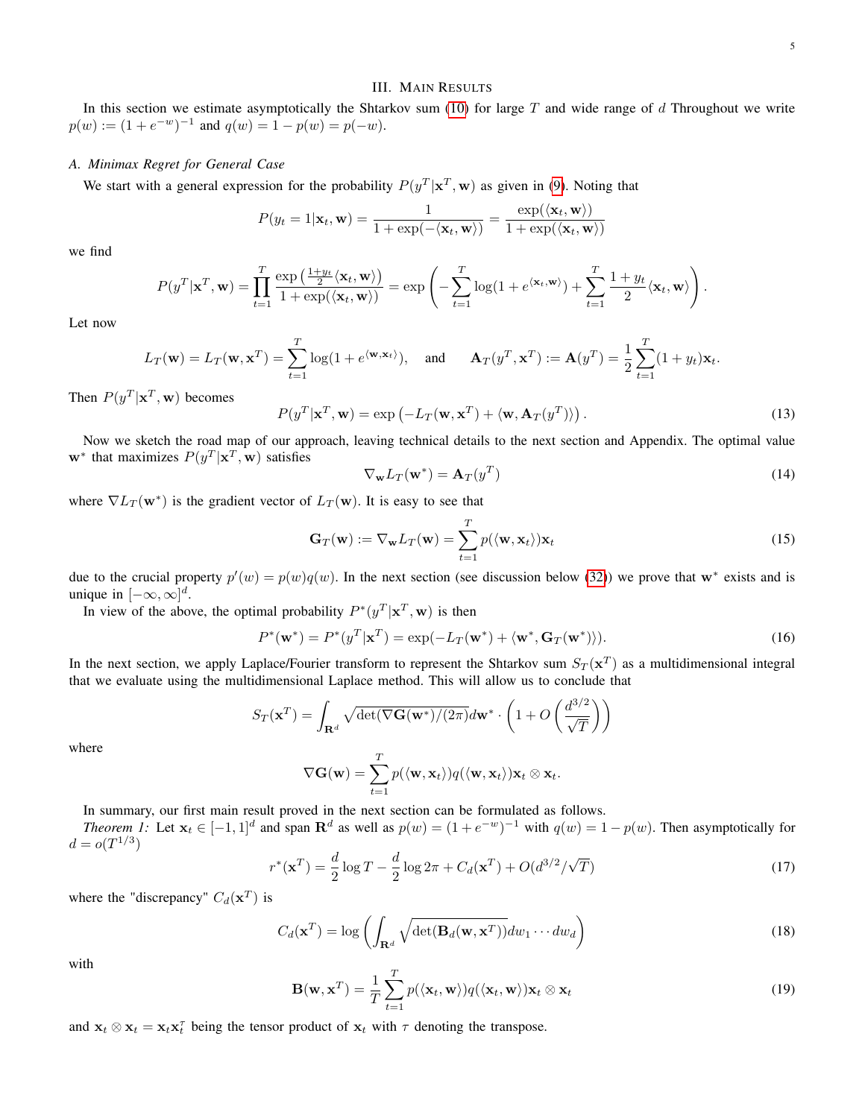## III. MAIN RESULTS

In this section we estimate asymptotically the Shtarkov sum [\(10\)](#page-3-2) for large  $T$  and wide range of  $d$  Throughout we write  $p(w) := (1 + e^{-w})^{-1}$  and  $q(w) = 1 - p(w) = p(-w)$ .

## *A. Minimax Regret for General Case*

We start with a general expression for the probability  $P(y^T|\mathbf{x}^T,\mathbf{w})$  as given in [\(9\)](#page-3-3). Noting that

$$
P(y_t = 1 | \mathbf{x}_t, \mathbf{w}) = \frac{1}{1 + \exp(-\langle \mathbf{x}_t, \mathbf{w} \rangle)} = \frac{\exp(\langle \mathbf{x}_t, \mathbf{w} \rangle)}{1 + \exp(\langle \mathbf{x}_t, \mathbf{w} \rangle)}
$$

we find

$$
P(y^T|\mathbf{x}^T,\mathbf{w}) = \prod_{t=1}^T \frac{\exp\left(\frac{1+y_t}{2}\langle \mathbf{x}_t,\mathbf{w}\rangle\right)}{1+\exp(\langle \mathbf{x}_t,\mathbf{w}\rangle)} = \exp\left(-\sum_{t=1}^T \log(1+e^{\langle \mathbf{x}_t,\mathbf{w}\rangle}) + \sum_{t=1}^T \frac{1+y_t}{2}\langle \mathbf{x}_t,\mathbf{w}\rangle\right).
$$

Let now

$$
L_T(\mathbf{w}) = L_T(\mathbf{w}, \mathbf{x}^T) = \sum_{t=1}^T \log(1 + e^{\langle \mathbf{w}, \mathbf{x}_t \rangle}), \quad \text{and} \quad \mathbf{A}_T(y^T, \mathbf{x}^T) := \mathbf{A}(y^T) = \frac{1}{2} \sum_{t=1}^T (1 + y_t) \mathbf{x}_t.
$$

Then  $P(y^T|\mathbf{x}^T, \mathbf{w})$  becomes

$$
P(y^T|\mathbf{x}^T,\mathbf{w}) = \exp(-L_T(\mathbf{w}, \mathbf{x}^T) + \langle \mathbf{w}, \mathbf{A}_T(y^T) \rangle).
$$
 (13)

Now we sketch the road map of our approach, leaving technical details to the next section and Appendix. The optimal value w<sup>\*</sup> that maximizes  $P(y^T|\mathbf{x}^T, \mathbf{w})$  satisfies

<span id="page-4-2"></span>
$$
\nabla_{\mathbf{w}} L_T(\mathbf{w}^*) = \mathbf{A}_T(y^T) \tag{14}
$$

where  $\nabla L_T(\mathbf{w}^*)$  is the gradient vector of  $L_T(\mathbf{w})$ . It is easy to see that

$$
\mathbf{G}_T(\mathbf{w}) := \nabla_{\mathbf{w}} L_T(\mathbf{w}) = \sum_{t=1}^T p(\langle \mathbf{w}, \mathbf{x}_t \rangle) \mathbf{x}_t
$$
\n(15)

due to the crucial property  $p'(w) = p(w)q(w)$ . In the next section (see discussion below [\(32\)](#page-6-1)) we prove that w<sup>\*</sup> exists and is unique in  $[-\infty, \infty]^d$ .

In view of the above, the optimal probability  $P^*(y^T|\mathbf{x}^T,\mathbf{w})$  is then

$$
P^*(\mathbf{w}^*) = P^*(y^T|\mathbf{x}^T) = \exp(-L_T(\mathbf{w}^*) + \langle \mathbf{w}^*, \mathbf{G}_T(\mathbf{w}^*) \rangle). \tag{16}
$$

In the next section, we apply Laplace/Fourier transform to represent the Shtarkov sum  $S_T(\mathbf{x}^T)$  as a multidimensional integral that we evaluate using the multidimensional Laplace method. This will allow us to conclude that

$$
S_T(\mathbf{x}^T) = \int_{\mathbf{R}^d} \sqrt{\det(\nabla \mathbf{G}(\mathbf{w}^*)/(2\pi)} d\mathbf{w}^* \cdot \left(1 + O\left(\frac{d^{3/2}}{\sqrt{T}}\right)\right)
$$

where

$$
\nabla \mathbf{G}(\mathbf{w}) = \sum_{t=1}^T p(\langle \mathbf{w}, \mathbf{x}_t \rangle) q(\langle \mathbf{w}, \mathbf{x}_t \rangle) \mathbf{x}_t \otimes \mathbf{x}_t.
$$

In summary, our first main result proved in the next section can be formulated as follows.

<span id="page-4-0"></span>*Theorem 1:* Let  $\mathbf{x}_t \in [-1,1]^d$  and span  $\mathbf{R}^d$  as well as  $p(w) = (1 + e^{-w})^{-1}$  with  $q(w) = 1 - p(w)$ . Then asymptotically for  $d = o(T^{1/3})$ 

$$
r^*(\mathbf{x}^T) = \frac{d}{2}\log T - \frac{d}{2}\log 2\pi + C_d(\mathbf{x}^T) + O(d^{3/2}/\sqrt{T})
$$
\n(17)

where the "discrepancy"  $C_d(\mathbf{x}^T)$  is

<span id="page-4-1"></span>
$$
C_d(\mathbf{x}^T) = \log \left( \int_{\mathbf{R}^d} \sqrt{\det(\mathbf{B}_d(\mathbf{w}, \mathbf{x}^T))} dw_1 \cdots dw_d \right)
$$
(18)

with

$$
\mathbf{B}(\mathbf{w}, \mathbf{x}^T) = \frac{1}{T} \sum_{t=1}^T p(\langle \mathbf{x}_t, \mathbf{w} \rangle) q(\langle \mathbf{x}_t, \mathbf{w} \rangle) \mathbf{x}_t \otimes \mathbf{x}_t
$$
\n(19)

and  $\mathbf{x}_t \otimes \mathbf{x}_t = \mathbf{x}_t \mathbf{x}_t^{\tau}$  being the tensor product of  $\mathbf{x}_t$  with  $\tau$  denoting the transpose.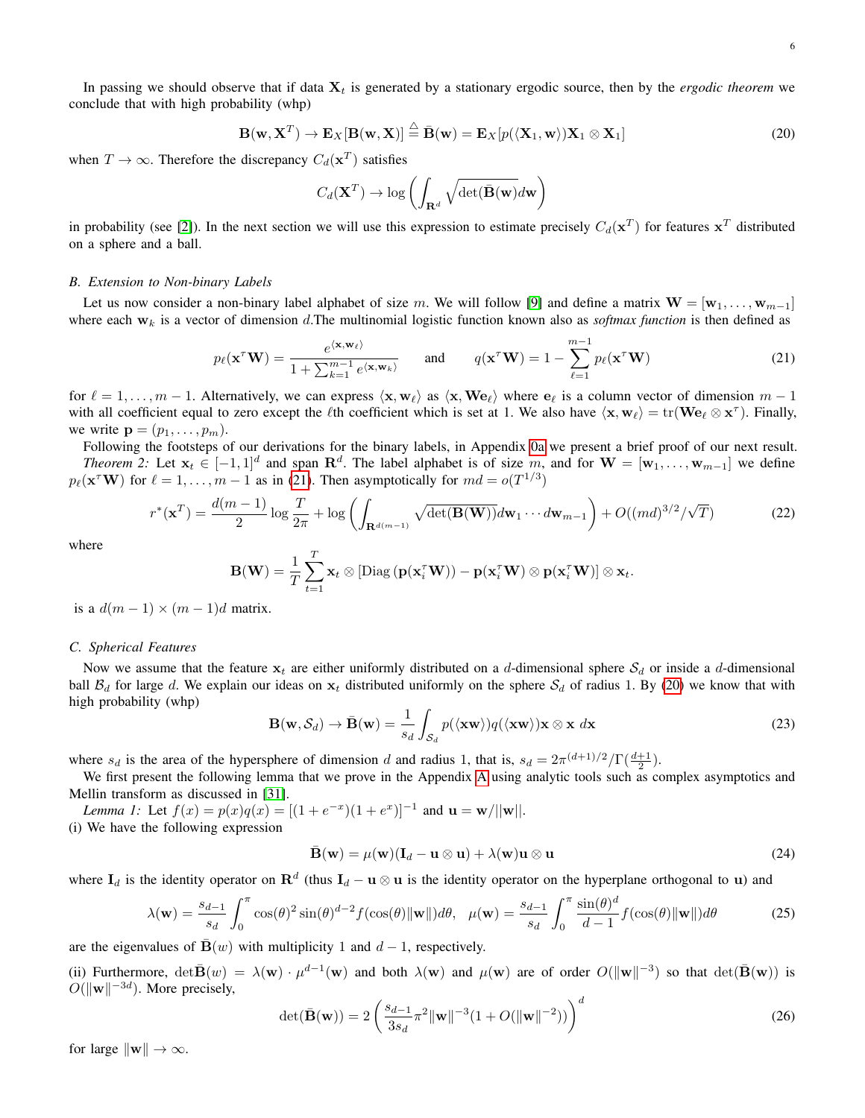In passing we should observe that if data  $X_t$  is generated by a stationary ergodic source, then by the *ergodic theorem* we conclude that with high probability (whp)

<span id="page-5-3"></span>
$$
\mathbf{B}(\mathbf{w}, \mathbf{X}^T) \to \mathbf{E}_X[\mathbf{B}(\mathbf{w}, \mathbf{X})] \stackrel{\triangle}{=} \bar{\mathbf{B}}(\mathbf{w}) = \mathbf{E}_X[p(\langle \mathbf{X}_1, \mathbf{w} \rangle) \mathbf{X}_1 \otimes \mathbf{X}_1]
$$
(20)

when  $T \to \infty$ . Therefore the discrepancy  $C_d(\mathbf{x}^T)$  satisfies

<span id="page-5-2"></span>
$$
C_d(\mathbf{X}^T) \to \log \left( \int_{\mathbf{R}^d} \sqrt{\det(\bar{\mathbf{B}}(\mathbf{w})} d\mathbf{w} \right)
$$

in probability (see [\[2\]](#page-12-34)). In the next section we will use this expression to estimate precisely  $C_d(\mathbf{x}^T)$  for features  $\mathbf{x}^T$  distributed on a sphere and a ball.

#### <span id="page-5-0"></span>*B. Extension to Non-binary Labels*

Let us now consider a non-binary label alphabet of size m. We will follow [\[9\]](#page-12-4) and define a matrix  $\mathbf{W} = [\mathbf{w}_1, \dots, \mathbf{w}_{m-1}]$ where each  $w_k$  is a vector of dimension d.The multinomial logistic function known also as *softmax function* is then defined as

$$
p_{\ell}(\mathbf{x}^{\tau}\mathbf{W}) = \frac{e^{\langle \mathbf{x}, \mathbf{w}_{\ell} \rangle}}{1 + \sum_{k=1}^{m-1} e^{\langle \mathbf{x}, \mathbf{w}_{k} \rangle}} \quad \text{and} \quad q(\mathbf{x}^{\tau}\mathbf{W}) = 1 - \sum_{\ell=1}^{m-1} p_{\ell}(\mathbf{x}^{\tau}\mathbf{W}) \tag{21}
$$

for  $\ell = 1, \ldots, m - 1$ . Alternatively, we can express  $\langle \mathbf{x}, \mathbf{w}_{\ell} \rangle$  as  $\langle \mathbf{x}, \mathbf{W} \mathbf{e}_{\ell} \rangle$  where  $\mathbf{e}_{\ell}$  is a column vector of dimension  $m - 1$ with all coefficient equal to zero except the  $\ell$ th coefficient which is set at 1. We also have  $\langle x, w_{\ell} \rangle = \text{tr}(We_{\ell} \otimes x^{\tau})$ . Finally, we write  $\mathbf{p} = (p_1, \ldots, p_m)$ .

Following the footsteps of our derivations for the binary labels, in Appendix [0a](#page-11-0) we present a brief proof of our next result.

<span id="page-5-1"></span>*Theorem 2:* Let  $x_t \in [-1,1]^d$  and span  $\mathbb{R}^d$ . The label alphabet is of size m, and for  $\mathbf{W} = [\mathbf{w}_1,\ldots,\mathbf{w}_{m-1}]$  we define  $p_{\ell}(\mathbf{x}^{\mathsf{T}} \mathbf{W})$  for  $\ell = 1, ..., m - 1$  as in [\(21\)](#page-5-2). Then asymptotically for  $md = o(T^{1/3})$ 

$$
r^*(\mathbf{x}^T) = \frac{d(m-1)}{2}\log\frac{T}{2\pi} + \log\left(\int_{\mathbf{R}^{d(m-1)}}\sqrt{\det(\mathbf{B}(\mathbf{W}))}d\mathbf{w}_1\cdots d\mathbf{w}_{m-1}\right) + O((md)^{3/2}/\sqrt{T})\tag{22}
$$

where

$$
\mathbf{B}(\mathbf{W}) = \frac{1}{T} \sum_{t=1}^T \mathbf{x}_t \otimes [\text{Diag}(\mathbf{p}(\mathbf{x}_i^T \mathbf{W})) - \mathbf{p}(\mathbf{x}_i^T \mathbf{W}) \otimes \mathbf{p}(\mathbf{x}_i^T \mathbf{W})] \otimes \mathbf{x}_t.
$$

is a  $d(m-1) \times (m-1)d$  matrix.

### *C. Spherical Features*

Now we assume that the feature  $x_t$  are either uniformly distributed on a d-dimensional sphere  $S_d$  or inside a d-dimensional ball  $B_d$  for large d. We explain our ideas on  $x_t$  distributed uniformly on the sphere  $S_d$  of radius 1. By [\(20\)](#page-5-3) we know that with high probability (whp)

$$
\mathbf{B}(\mathbf{w}, \mathcal{S}_d) \to \bar{\mathbf{B}}(\mathbf{w}) = \frac{1}{s_d} \int_{\mathcal{S}_d} p(\langle \mathbf{x} \mathbf{w} \rangle) q(\langle \mathbf{x} \mathbf{w} \rangle) \mathbf{x} \otimes \mathbf{x} \, d\mathbf{x}
$$
 (23)

where  $s_d$  is the area of the hypersphere of dimension d and radius 1, that is,  $s_d = 2\pi^{(d+1)/2}/\Gamma(\frac{d+1}{2})$ .

We first present the following lemma that we prove in the Appendix [A](#page-8-0) using analytic tools such as complex asymptotics and Mellin transform as discussed in [\[31\]](#page-12-11).

<span id="page-5-4"></span>*Lemma 1:* Let  $f(x) = p(x)q(x) = [(1 + e^{-x})(1 + e^{x})]^{-1}$  and  $\mathbf{u} = \mathbf{w}/||\mathbf{w}||$ . (i) We have the following expression

$$
\bar{\mathbf{B}}(\mathbf{w}) = \mu(\mathbf{w})(\mathbf{I}_d - \mathbf{u} \otimes \mathbf{u}) + \lambda(\mathbf{w})\mathbf{u} \otimes \mathbf{u}
$$
 (24)

where  $I_d$  is the identity operator on  $\mathbf{R}^d$  (thus  $I_d - \mathbf{u} \otimes \mathbf{u}$  is the identity operator on the hyperplane orthogonal to  $\mathbf{u}$ ) and

$$
\lambda(\mathbf{w}) = \frac{s_{d-1}}{s_d} \int_0^{\pi} \cos(\theta)^2 \sin(\theta)^{d-2} f(\cos(\theta) ||\mathbf{w}||) d\theta, \quad \mu(\mathbf{w}) = \frac{s_{d-1}}{s_d} \int_0^{\pi} \frac{\sin(\theta)^d}{d-1} f(\cos(\theta) ||\mathbf{w}||) d\theta \tag{25}
$$

are the eigenvalues of  $\mathbf{B}(w)$  with multiplicity 1 and  $d - 1$ , respectively.

(ii) Furthermore,  $\det \mathbf{B}(w) = \lambda(\mathbf{w}) \cdot \mu^{d-1}(\mathbf{w})$  and both  $\lambda(\mathbf{w})$  and  $\mu(\mathbf{w})$  are of order  $O(\|\mathbf{w}\|^{-3})$  so that  $\det(\mathbf{B}(\mathbf{w}))$  is  $O(||\mathbf{w}||^{-3d})$ . More precisely,

$$
\det(\bar{\mathbf{B}}(\mathbf{w})) = 2\left(\frac{s_{d-1}}{3s_d}\pi^2 \|\mathbf{w}\|^{-3} (1 + O(\|\mathbf{w}\|^{-2}))\right)^d
$$
(26)

for large  $\|\mathbf{w}\| \to \infty$ .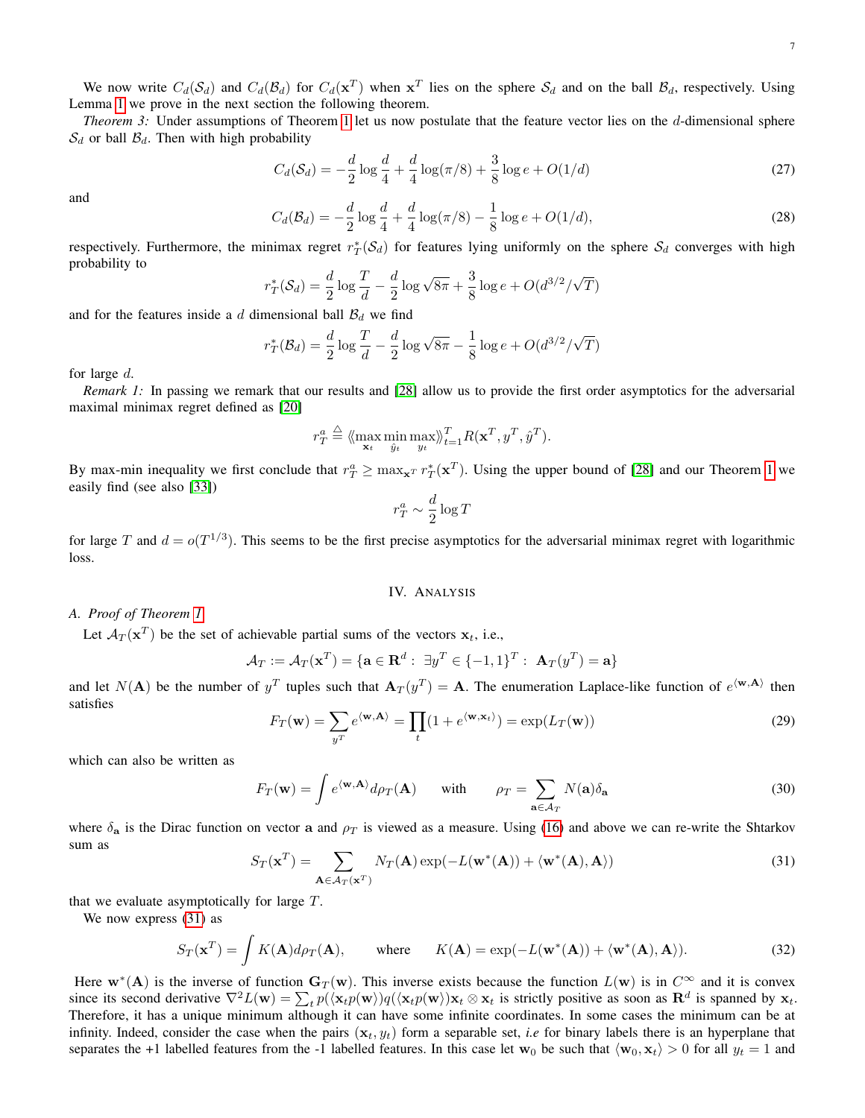We now write  $C_d(\mathcal{S}_d)$  and  $C_d(\mathcal{B}_d)$  for  $C_d(\mathbf{x}^T)$  when  $\mathbf{x}^T$  lies on the sphere  $\mathcal{S}_d$  and on the ball  $\mathcal{B}_d$ , respectively. Using Lemma [1](#page-5-4) we prove in the next section the following theorem.

<span id="page-6-0"></span>*Theorem 3:* Under assumptions of Theorem [1](#page-4-0) let us now postulate that the feature vector lies on the d-dimensional sphere  $S_d$  or ball  $\mathcal{B}_d$ . Then with high probability

<span id="page-6-3"></span>
$$
C_d(\mathcal{S}_d) = -\frac{d}{2}\log\frac{d}{4} + \frac{d}{4}\log(\pi/8) + \frac{3}{8}\log e + O(1/d)
$$
 (27)

<span id="page-6-4"></span>and

$$
C_d(\mathcal{B}_d) = -\frac{d}{2}\log\frac{d}{4} + \frac{d}{4}\log(\pi/8) - \frac{1}{8}\log e + O(1/d),\tag{28}
$$

respectively. Furthermore, the minimax regret  $r_T^*(S_d)$  for features lying uniformly on the sphere  $S_d$  converges with high probability to

$$
r_T^*(S_d) = \frac{d}{2}\log\frac{T}{d} - \frac{d}{2}\log\sqrt{8\pi} + \frac{3}{8}\log e + O(d^{3/2}/\sqrt{T})
$$

and for the features inside a d dimensional ball  $B_d$  we find

r

$$
_{T}^{*}(B_{d}) = \frac{d}{2}\log\frac{T}{d} - \frac{d}{2}\log\sqrt{8\pi} - \frac{1}{8}\log e + O(d^{3/2}/\sqrt{T})
$$

for large d.

*Remark 1:* In passing we remark that our results and [\[28\]](#page-12-5) allow us to provide the first order asymptotics for the adversarial maximal minimax regret defined as [\[20\]](#page-12-31)

$$
r_T^a \stackrel{\triangle}{=} \langle \max_{\mathbf{x}_t} \min_{\hat{y}_t} \max_{y_t} \rangle_{t=1}^T R(\mathbf{x}^T, y^T, \hat{y}^T).
$$

By max-min inequality we first conclude that  $r_T^a \ge \max_{\mathbf{x}^T} r_T^*(\mathbf{x}^T)$ . Using the upper bound of [\[28\]](#page-12-5) and our Theorem [1](#page-4-0) we easily find (see also [\[33\]](#page-12-6))

$$
r^a_T \sim \frac{d}{2}\log T
$$

for large T and  $d = o(T^{1/3})$ . This seems to be the first precise asymptotics for the adversarial minimax regret with logarithmic loss.

## IV. ANALYSIS

## *A. Proof of Theorem [1](#page-4-0)*

Let  $\mathcal{A}_T(\mathbf{x}^T)$  be the set of achievable partial sums of the vectors  $\mathbf{x}_t$ , i.e.,

$$
\mathcal{A}_T := \mathcal{A}_T(\mathbf{x}^T) = \{ \mathbf{a} \in \mathbf{R}^d : \exists y^T \in \{-1, 1\}^T : \mathbf{A}_T(y^T) = \mathbf{a} \}
$$

and let  $N(A)$  be the number of  $y^T$  tuples such that  $A_T(y^T) = A$ . The enumeration Laplace-like function of  $e^{(\mathbf{w}, \mathbf{A})}$  then satisfies

$$
F_T(\mathbf{w}) = \sum_{y^T} e^{\langle \mathbf{w}, \mathbf{A} \rangle} = \prod_t (1 + e^{\langle \mathbf{w}, \mathbf{x}_t \rangle}) = \exp(L_T(\mathbf{w}))
$$
(29)

which can also be written as

$$
F_T(\mathbf{w}) = \int e^{\langle \mathbf{w}, \mathbf{A} \rangle} d\rho_T(\mathbf{A}) \quad \text{with} \quad \rho_T = \sum_{\mathbf{a} \in \mathcal{A}_T} N(\mathbf{a}) \delta_{\mathbf{a}} \tag{30}
$$

<span id="page-6-2"></span>where  $\delta_{a}$  is the Dirac function on vector a and  $\rho_{T}$  is viewed as a measure. Using [\(16\)](#page-4-2) and above we can re-write the Shtarkov sum as

<span id="page-6-1"></span>
$$
S_T(\mathbf{x}^T) = \sum_{\mathbf{A} \in \mathcal{A}_T(\mathbf{x}^T)} N_T(\mathbf{A}) \exp(-L(\mathbf{w}^*(\mathbf{A})) + \langle \mathbf{w}^*(\mathbf{A}), \mathbf{A} \rangle)
$$
(31)

that we evaluate asymptotically for large  $T$ .

We now express [\(31\)](#page-6-2) as

$$
S_T(\mathbf{x}^T) = \int K(\mathbf{A}) d\rho_T(\mathbf{A}), \quad \text{where} \quad K(\mathbf{A}) = \exp(-L(\mathbf{w}^*(\mathbf{A})) + \langle \mathbf{w}^*(\mathbf{A}), \mathbf{A} \rangle). \tag{32}
$$

Here  $w^*(A)$  is the inverse of function  $G_T(w)$ . This inverse exists because the function  $L(w)$  is in  $C^{\infty}$  and it is convex since its second derivative  $\nabla^2 L(\mathbf{w}) = \sum_t p(\langle \mathbf{x}_t p(\mathbf{w}) \rangle q(\langle \mathbf{x}_t p(\mathbf{w}) \rangle \mathbf{x}_t \otimes \mathbf{x}_t$  is strictly positive as soon as  $\mathbf{R}^d$  is spanned by  $\mathbf{x}_t$ . Therefore, it has a unique minimum although it can have some infinite coordinates. In some cases the minimum can be at infinity. Indeed, consider the case when the pairs  $(x_t, y_t)$  form a separable set, *i.e* for binary labels there is an hyperplane that separates the +1 labelled features from the -1 labelled features. In this case let  $w_0$  be such that  $\langle w_0, x_t \rangle > 0$  for all  $y_t = 1$  and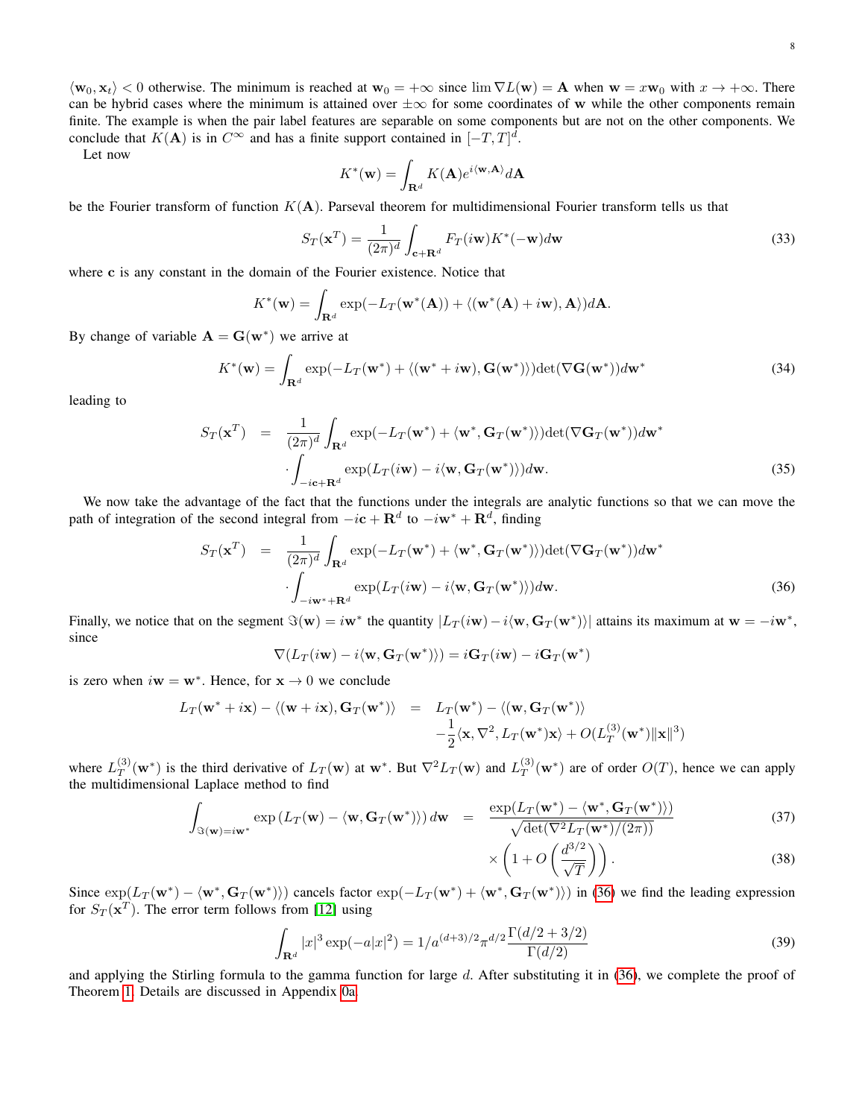$\langle w_0, x_t \rangle < 0$  otherwise. The minimum is reached at  $w_0 = +\infty$  since  $\lim \nabla L(w) = \mathbf{A}$  when  $\mathbf{w} = x\mathbf{w}_0$  with  $x \to +\infty$ . There can be hybrid cases where the minimum is attained over  $\pm \infty$  for some coordinates of w while the other components remain finite. The example is when the pair label features are separable on some components but are not on the other components. We conclude that  $K(A)$  is in  $C^{\infty}$  and has a finite support contained in  $[-T, T]^d$ .

Let now

$$
K^*(\mathbf{w}) = \int_{\mathbf{R}^d} K(\mathbf{A}) e^{i \langle \mathbf{w}, \mathbf{A} \rangle} d\mathbf{A}
$$

be the Fourier transform of function  $K(A)$ . Parseval theorem for multidimensional Fourier transform tells us that

$$
S_T(\mathbf{x}^T) = \frac{1}{(2\pi)^d} \int_{\mathbf{c}+\mathbf{R}^d} F_T(i\mathbf{w}) K^*(-\mathbf{w}) d\mathbf{w}
$$
 (33)

where c is any constant in the domain of the Fourier existence. Notice that

$$
K^*(\mathbf{w}) = \int_{\mathbf{R}^d} \exp(-L_T(\mathbf{w}^*(\mathbf{A})) + \langle (\mathbf{w}^*(\mathbf{A}) + i\mathbf{w}), \mathbf{A} \rangle) d\mathbf{A}.
$$

By change of variable  $\mathbf{A} = \mathbf{G}(\mathbf{w}^*)$  we arrive at

$$
K^*(\mathbf{w}) = \int_{\mathbf{R}^d} \exp(-L_T(\mathbf{w}^*) + \langle (\mathbf{w}^* + i\mathbf{w}), \mathbf{G}(\mathbf{w}^*) \rangle) \det(\nabla \mathbf{G}(\mathbf{w}^*)) d\mathbf{w}^*
$$
(34)

leading to

$$
S_T(\mathbf{x}^T) = \frac{1}{(2\pi)^d} \int_{\mathbf{R}^d} \exp(-L_T(\mathbf{w}^*) + \langle \mathbf{w}^*, \mathbf{G}_T(\mathbf{w}^*) \rangle) \det(\nabla \mathbf{G}_T(\mathbf{w}^*)) d\mathbf{w}^*
$$

$$
\cdot \int_{-i\mathbf{c} + \mathbf{R}^d} \exp(L_T(i\mathbf{w}) - i\langle \mathbf{w}, \mathbf{G}_T(\mathbf{w}^*) \rangle) d\mathbf{w}.
$$
(35)

We now take the advantage of the fact that the functions under the integrals are analytic functions so that we can move the path of integration of the second integral from  $-i\mathbf{c} + \mathbf{R}^d$  to  $-i\mathbf{w}^* + \mathbf{R}^d$ , finding

<span id="page-7-0"></span>
$$
S_T(\mathbf{x}^T) = \frac{1}{(2\pi)^d} \int_{\mathbf{R}^d} \exp(-L_T(\mathbf{w}^*) + \langle \mathbf{w}^*, \mathbf{G}_T(\mathbf{w}^*) \rangle) \det(\nabla \mathbf{G}_T(\mathbf{w}^*)) d\mathbf{w}^*
$$

$$
\cdot \int_{-i\mathbf{w}^* + \mathbf{R}^d} \exp(L_T(i\mathbf{w}) - i \langle \mathbf{w}, \mathbf{G}_T(\mathbf{w}^*) \rangle) d\mathbf{w}.
$$
(36)

Finally, we notice that on the segment  $\Im(\mathbf{w}) = i\mathbf{w}^*$  the quantity  $|L_T(i\mathbf{w}) - i\langle \mathbf{w}, \mathbf{G}_T(\mathbf{w}^*) \rangle|$  attains its maximum at  $\mathbf{w} = -i\mathbf{w}^*$ , since

$$
\nabla(L_T(i\mathbf{w}) - i\langle \mathbf{w}, \mathbf{G}_T(\mathbf{w}^*)\rangle) = i\mathbf{G}_T(i\mathbf{w}) - i\mathbf{G}_T(\mathbf{w}^*)
$$

is zero when  $i\mathbf{w} = \mathbf{w}^*$ . Hence, for  $\mathbf{x} \to 0$  we conclude

<span id="page-7-1"></span>
$$
L_T(\mathbf{w}^* + i\mathbf{x}) - \langle (\mathbf{w} + i\mathbf{x}), \mathbf{G}_T(\mathbf{w}^*) \rangle = L_T(\mathbf{w}^*) - \langle (\mathbf{w}, \mathbf{G}_T(\mathbf{w}^*) \rangle -\frac{1}{2} \langle \mathbf{x}, \nabla^2, L_T(\mathbf{w}^*) \mathbf{x} \rangle + O(L_T^{(3)}(\mathbf{w}^*) ||\mathbf{x}||^3)
$$

where  $L_T^{(3)}$  $T(T(T^{(3)}(w^*))$  is the third derivative of  $L_T(w)$  at  $w^*$ . But  $\nabla^2 L_T(w)$  and  $L_T^{(3)}$  $T(T^{(3)}(w^*))$  are of order  $O(T)$ , hence we can apply the multidimensional Laplace method to find

$$
\int_{\Im(\mathbf{w}) = i\mathbf{w}^*} \exp\left(L_T(\mathbf{w}) - \langle \mathbf{w}, \mathbf{G}_T(\mathbf{w}^*) \rangle\right) d\mathbf{w} = \frac{\exp(L_T(\mathbf{w}^*) - \langle \mathbf{w}^*, \mathbf{G}_T(\mathbf{w}^*) \rangle)}{\sqrt{\det(\nabla^2 L_T(\mathbf{w}^*)/(2\pi))}}
$$
(37)

$$
\times \left(1 + O\left(\frac{d^{3/2}}{\sqrt{T}}\right)\right). \tag{38}
$$

Since  $\exp(L_T(\mathbf{w}^*) - \langle \mathbf{w}^*, \mathbf{G}_T(\mathbf{w}^*) \rangle)$  cancels factor  $\exp(-L_T(\mathbf{w}^*) + \langle \mathbf{w}^*, \mathbf{G}_T(\mathbf{w}^*) \rangle)$  in [\(36\)](#page-7-0) we find the leading expression for  $S_T(\mathbf{x}^T)$ . The error term follows from [\[12\]](#page-12-35) using

$$
\int_{\mathbf{R}^d} |x|^3 \exp(-a|x|^2) = 1/a^{(d+3)/2} \pi^{d/2} \frac{\Gamma(d/2 + 3/2)}{\Gamma(d/2)}
$$
\n(39)

and applying the Stirling formula to the gamma function for large  $d$ . After substituting it in [\(36\)](#page-7-0), we complete the proof of Theorem [1.](#page-4-0) Details are discussed in Appendix [0a.](#page-11-1)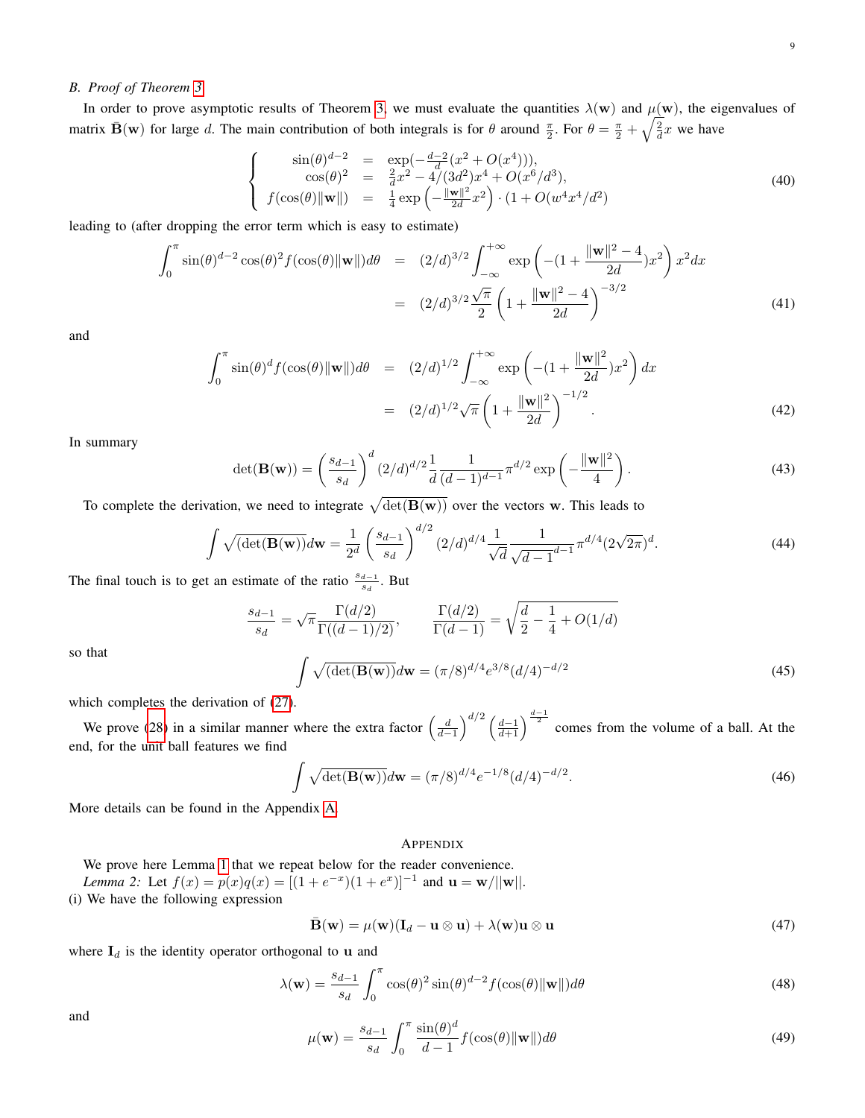# *B. Proof of Theorem [3](#page-6-0)*

In order to prove asymptotic results of Theorem [3,](#page-6-0) we must evaluate the quantities  $\lambda(w)$  and  $\mu(w)$ , the eigenvalues of matrix  $\bar{\mathbf{B}}(\mathbf{w})$  for large d. The main contribution of both integrals is for  $\theta$  around  $\frac{\pi}{2}$ . For  $\theta = \frac{\pi}{2} + \sqrt{\frac{2}{d}}x$  we have

$$
\sin(\theta)^{d-2} = \exp(-\frac{d-2}{d}(x^2 + O(x^4))),\n\cos(\theta)^2 = \frac{2}{d}x^2 - 4/(3d^2)x^4 + O(x^6/d^3),\nf(\cos(\theta)||\mathbf{w}||) = \frac{1}{4}\exp(-\frac{\|\mathbf{w}\|^2}{2d}x^2) \cdot (1 + O(w^4x^4/d^2))
$$
\n(40)

leading to (after dropping the error term which is easy to estimate)

 $\sqrt{ }$  $\int$ 

 $\overline{\mathcal{L}}$ 

$$
\int_0^{\pi} \sin(\theta)^{d-2} \cos(\theta)^2 f(\cos(\theta) ||\mathbf{w}||) d\theta = (2/d)^{3/2} \int_{-\infty}^{+\infty} \exp\left(-(1 + \frac{\|\mathbf{w}\|^2 - 4}{2d})x^2\right) x^2 dx
$$

$$
= (2/d)^{3/2} \frac{\sqrt{\pi}}{2} \left(1 + \frac{\|\mathbf{w}\|^2 - 4}{2d}\right)^{-3/2} \tag{41}
$$

and

$$
\int_0^{\pi} \sin(\theta)^d f(\cos(\theta) ||\mathbf{w}||) d\theta = (2/d)^{1/2} \int_{-\infty}^{+\infty} \exp\left(-(1 + \frac{||\mathbf{w}||^2}{2d})x^2\right) dx
$$
  
=  $(2/d)^{1/2} \sqrt{\pi} \left(1 + \frac{||\mathbf{w}||^2}{2d}\right)^{-1/2}$ . (42)

In summary

$$
\det(\mathbf{B}(\mathbf{w})) = \left(\frac{s_{d-1}}{s_d}\right)^d (2/d)^{d/2} \frac{1}{d} \frac{1}{(d-1)^{d-1}} \pi^{d/2} \exp\left(-\frac{\|\mathbf{w}\|^2}{4}\right).
$$
 (43)

To complete the derivation, we need to integrate  $\sqrt{\det(B(w))}$  over the vectors w. This leads to

$$
\int \sqrt{\left(\det(\mathbf{B}(\mathbf{w}))}\,d\mathbf{w} = \frac{1}{2^d} \left(\frac{s_{d-1}}{s_d}\right)^{d/2} (2/d)^{d/4} \frac{1}{\sqrt{d}} \frac{1}{\sqrt{d-1}^{d-1}} \pi^{d/4} (2\sqrt{2\pi})^d. \tag{44}
$$

The final touch is to get an estimate of the ratio  $\frac{s_{d-1}}{s_d}$ . But

$$
\frac{s_{d-1}}{s_d} = \sqrt{\pi} \frac{\Gamma(d/2)}{\Gamma((d-1)/2)}, \qquad \frac{\Gamma(d/2)}{\Gamma(d-1)} = \sqrt{\frac{d}{2} - \frac{1}{4} + O(1/d)}
$$
\n
$$
\int \sqrt{\det(\mathbf{B}(\mathbf{w}))} d\mathbf{w} = (\pi/8)^{d/4} e^{3/8} (d/4)^{-d/2}
$$
\n(45)

so that

$$
\int \sqrt{(\det(\mathbf{B}(\mathbf{w}))}d\mathbf{w} = (\pi/8)^{d/4}e^{3/8}(d/4)^{-d/2}
$$
\n(45)

which completes the derivation of [\(27\)](#page-6-3).

We prove [\(28\)](#page-6-4) in a similar manner where the extra factor  $\left(\frac{d}{d-1}\right)^{d/2} \left(\frac{d-1}{d+1}\right)^{\frac{d-1}{2}}$  comes from the volume of a ball. At the end, for the unit ball features we find

$$
\int \sqrt{\det(\mathbf{B}(\mathbf{w}))}d\mathbf{w} = (\pi/8)^{d/4}e^{-1/8}(d/4)^{-d/2}.
$$
\n(46)

More details can be found in the Appendix [A.](#page-8-0)

## <span id="page-8-0"></span>APPENDIX

We prove here Lemma [1](#page-5-4) that we repeat below for the reader convenience. *Lemma 2:* Let  $f(x) = p(x)q(x) = [(1 + e^{-x})(1 + e^{x})]^{-1}$  and  $\mathbf{u} = \mathbf{w}/||\mathbf{w}||$ . (i) We have the following expression

$$
\bar{\mathbf{B}}(\mathbf{w}) = \mu(\mathbf{w})(\mathbf{I}_d - \mathbf{u} \otimes \mathbf{u}) + \lambda(\mathbf{w})\mathbf{u} \otimes \mathbf{u}
$$
\n(47)

where  $I_d$  is the identity operator orthogonal to u and

$$
\lambda(\mathbf{w}) = \frac{s_{d-1}}{s_d} \int_0^{\pi} \cos(\theta)^2 \sin(\theta)^{d-2} f(\cos(\theta) ||\mathbf{w}||) d\theta \tag{48}
$$

and

$$
\mu(\mathbf{w}) = \frac{s_{d-1}}{s_d} \int_0^\pi \frac{\sin(\theta)^d}{d-1} f(\cos(\theta) ||\mathbf{w}||) d\theta \tag{49}
$$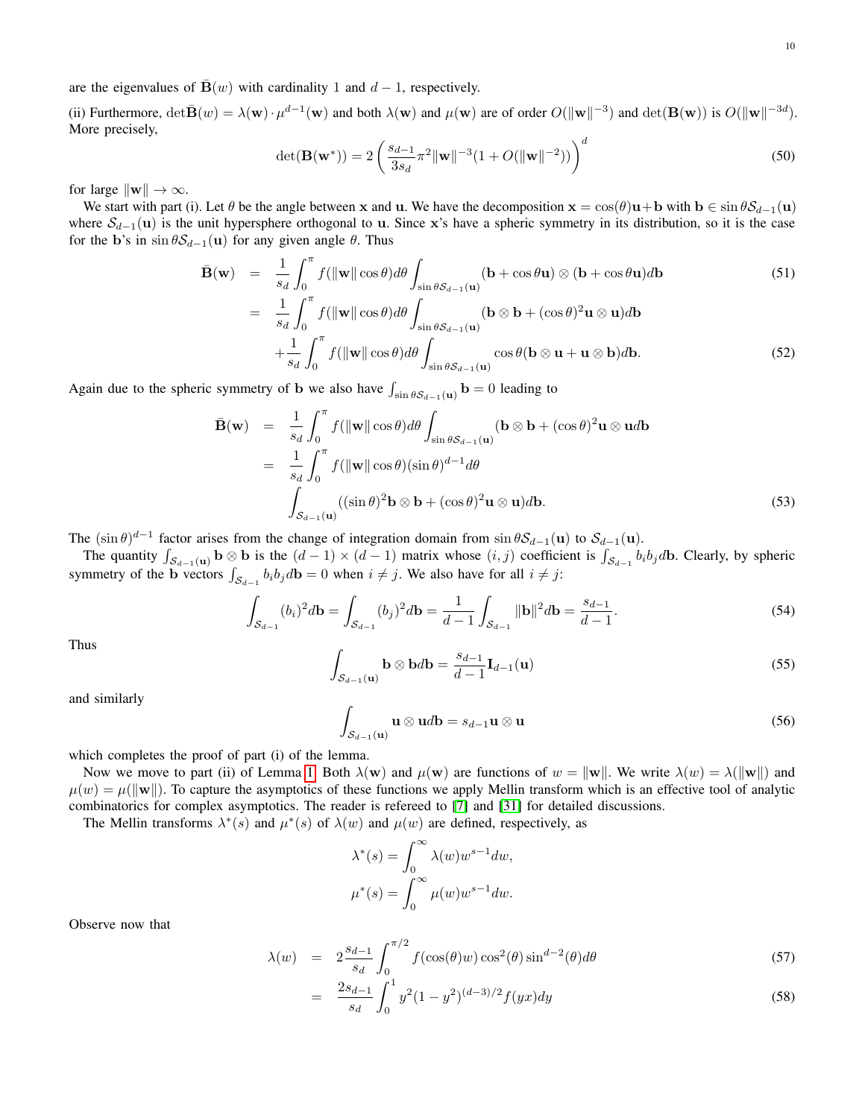are the eigenvalues of  $\bar{\mathbf{B}}(w)$  with cardinality 1 and  $d - 1$ , respectively.

(ii) Furthermore,  $\det \bar{\mathbf{B}}(w) = \lambda(\mathbf{w}) \cdot \mu^{d-1}(\mathbf{w})$  and both  $\lambda(\mathbf{w})$  and  $\mu(\mathbf{w})$  are of order  $O(\|\mathbf{w}\|^{-3})$  and  $\det(\mathbf{B}(\mathbf{w}))$  is  $O(\|\mathbf{w}\|^{-3d})$ . More precisely,

$$
\det(\mathbf{B}(\mathbf{w}^*)) = 2\left(\frac{s_{d-1}}{3s_d}\pi^2 \|\mathbf{w}\|^{-3} (1 + O(\|\mathbf{w}\|^{-2}))\right)^d
$$
\n(50)

for large  $\|\mathbf{w}\| \to \infty$ .

We start with part (i). Let  $\theta$  be the angle between x and u. We have the decomposition  $\mathbf{x} = \cos(\theta)\mathbf{u} + \mathbf{b}$  with  $\mathbf{b} \in \sin \theta \mathcal{S}_{d-1}(\mathbf{u})$ where  $\mathcal{S}_{d-1}(\mathbf{u})$  is the unit hypersphere orthogonal to u. Since x's have a spheric symmetry in its distribution, so it is the case for the b's in  $\sin \theta S_{d-1}(\mathbf{u})$  for any given angle  $\theta$ . Thus

$$
\bar{\mathbf{B}}(\mathbf{w}) = \frac{1}{s_d} \int_0^{\pi} f(||\mathbf{w}|| \cos \theta) d\theta \int_{\sin \theta S_{d-1}(\mathbf{u})} (\mathbf{b} + \cos \theta \mathbf{u}) \otimes (\mathbf{b} + \cos \theta \mathbf{u}) d\mathbf{b}
$$
(51)  
\n
$$
= \frac{1}{s_d} \int_0^{\pi} f(||\mathbf{w}|| \cos \theta) d\theta \int_{\sin \theta S_{d-1}(\mathbf{u})} (\mathbf{b} \otimes \mathbf{b} + (\cos \theta)^2 \mathbf{u} \otimes \mathbf{u}) d\mathbf{b}
$$
  
\n
$$
+ \frac{1}{s_d} \int_0^{\pi} f(||\mathbf{w}|| \cos \theta) d\theta \int_{\sin \theta S_{d-1}(\mathbf{u})} \cos \theta (\mathbf{b} \otimes \mathbf{u} + \mathbf{u} \otimes \mathbf{b}) d\mathbf{b}.
$$
 (52)

Again due to the spheric symmetry of **b** we also have  $\int_{\sin \theta S_{d-1}(\mathbf{u})} \mathbf{b} = 0$  leading to

$$
\bar{\mathbf{B}}(\mathbf{w}) = \frac{1}{s_d} \int_0^{\pi} f(||\mathbf{w}|| \cos \theta) d\theta \int_{\sin \theta S_{d-1}(\mathbf{u})} (\mathbf{b} \otimes \mathbf{b} + (\cos \theta)^2 \mathbf{u} \otimes \mathbf{u} d\mathbf{b})
$$
  
\n
$$
= \frac{1}{s_d} \int_0^{\pi} f(||\mathbf{w}|| \cos \theta) (\sin \theta)^{d-1} d\theta
$$
  
\n
$$
\int_{S_{d-1}(\mathbf{u})} ((\sin \theta)^2 \mathbf{b} \otimes \mathbf{b} + (\cos \theta)^2 \mathbf{u} \otimes \mathbf{u}) d\mathbf{b}.
$$
 (53)

The  $(\sin \theta)^{d-1}$  factor arises from the change of integration domain from  $\sin \theta S_{d-1}(\mathbf{u})$  to  $S_{d-1}(\mathbf{u})$ .

The quantity  $\int_{S_{d-1}(\mathbf{u})} \mathbf{b} \otimes \mathbf{b}$  is the  $(d-1) \times (d-1)$  matrix whose  $(i, j)$  coefficient is  $\int_{S_{d-1}} b_i b_j d\mathbf{b}$ . Clearly, by spheric symmetry of the b vectors  $\int_{S_{d-1}} b_i b_j d\mathbf{b} = 0$  when  $i \neq j$ . We also have for all  $i \neq j$ :

$$
\int_{\mathcal{S}_{d-1}} (b_i)^2 d\mathbf{b} = \int_{\mathcal{S}_{d-1}} (b_j)^2 d\mathbf{b} = \frac{1}{d-1} \int_{\mathcal{S}_{d-1}} ||\mathbf{b}||^2 d\mathbf{b} = \frac{s_{d-1}}{d-1}.
$$
\n(54)

Thus

$$
\int_{\mathcal{S}_{d-1}(\mathbf{u})} \mathbf{b} \otimes \mathbf{b} d\mathbf{b} = \frac{s_{d-1}}{d-1} \mathbf{I}_{d-1}(\mathbf{u}) \tag{55}
$$

and similarly

$$
\int_{\mathcal{S}_{d-1}(\mathbf{u})} \mathbf{u} \otimes \mathbf{u} d\mathbf{b} = s_{d-1} \mathbf{u} \otimes \mathbf{u}
$$
 (56)

which completes the proof of part (i) of the lemma.

Now we move to part (ii) of Lemma [1.](#page-5-4) Both  $\lambda(\mathbf{w})$  and  $\mu(\mathbf{w})$  are functions of  $w = ||\mathbf{w}||$ . We write  $\lambda(w) = \lambda(||\mathbf{w}||)$  and  $\mu(w) = \mu(||w||)$ . To capture the asymptotics of these functions we apply Mellin transform which is an effective tool of analytic combinatorics for complex asymptotics. The reader is refereed to [\[7\]](#page-12-10) and [\[31\]](#page-12-11) for detailed discussions.

The Mellin transforms  $\lambda^*(s)$  and  $\mu^*(s)$  of  $\lambda(w)$  and  $\mu(w)$  are defined, respectively, as

$$
\lambda^*(s) = \int_0^\infty \lambda(w) w^{s-1} dw,
$$
  

$$
\mu^*(s) = \int_0^\infty \mu(w) w^{s-1} dw.
$$

Observe now that

$$
\lambda(w) = 2\frac{s_{d-1}}{s_d} \int_0^{\pi/2} f(\cos(\theta)w) \cos^2(\theta) \sin^{d-2}(\theta) d\theta \tag{57}
$$

$$
= \frac{2s_{d-1}}{s_d} \int_0^1 y^2 (1 - y^2)^{(d-3)/2} f(yx) dy \tag{58}
$$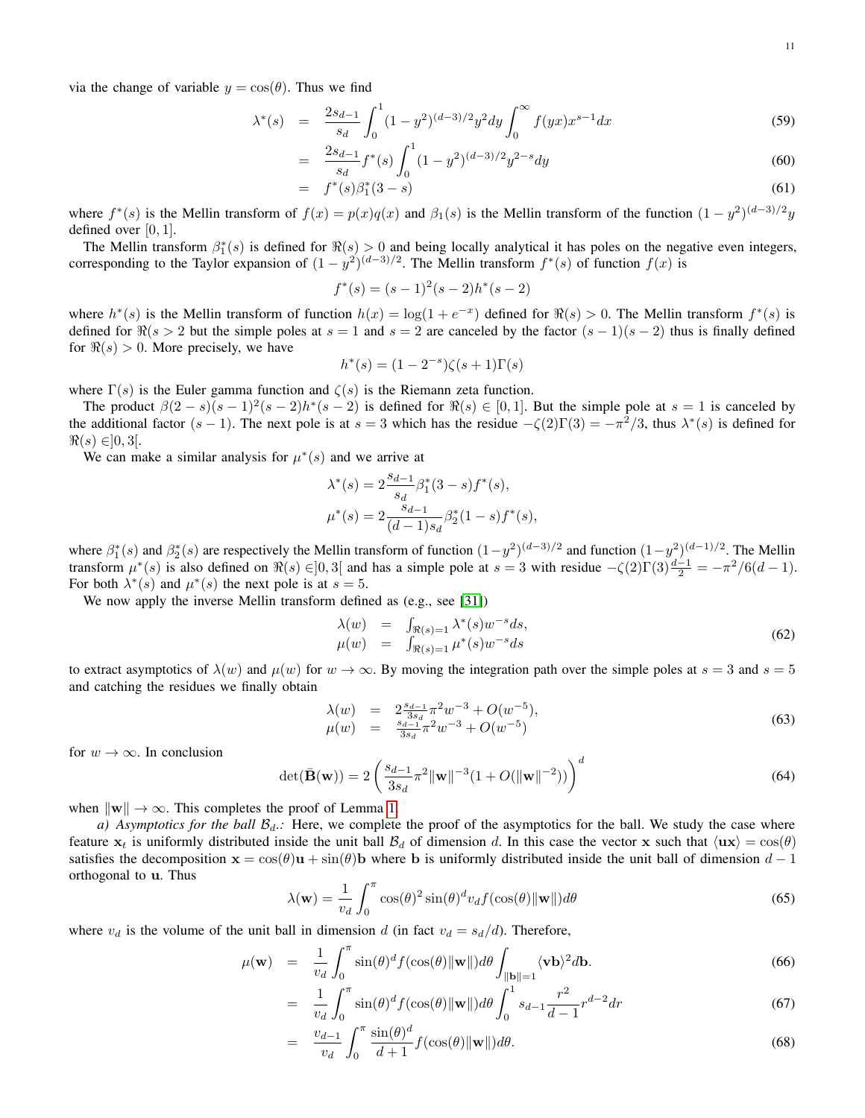via the change of variable  $y = cos(\theta)$ . Thus we find

$$
\lambda^*(s) = \frac{2s_{d-1}}{s_d} \int_0^1 (1 - y^2)^{(d-3)/2} y^2 dy \int_0^\infty f(yx) x^{s-1} dx \tag{59}
$$

$$
= \frac{2s_{d-1}}{s_d} f^*(s) \int_0^1 (1 - y^2)^{(d-3)/2} y^{2-s} dy \tag{60}
$$

$$
= f^*(s)\beta_1^*(3-s) \tag{61}
$$

where  $f^*(s)$  is the Mellin transform of  $f(x) = p(x)q(x)$  and  $\beta_1(s)$  is the Mellin transform of the function  $(1 - y^2)^{(d-3)/2}y$ defined over  $[0, 1]$ .

The Mellin transform  $\beta_1^*(s)$  is defined for  $\Re(s) > 0$  and being locally analytical it has poles on the negative even integers, corresponding to the Taylor expansion of  $(1 - y^2)^{(d-3)/2}$ . The Mellin transform  $f^*(s)$  of function  $f(x)$  is

$$
f^*(s) = (s-1)^2(s-2)h^*(s-2)
$$

where  $h^*(s)$  is the Mellin transform of function  $h(x) = \log(1 + e^{-x})$  defined for  $\Re(s) > 0$ . The Mellin transform  $f^*(s)$  is defined for  $\Re(s > 2$  but the simple poles at  $s = 1$  and  $s = 2$  are canceled by the factor  $(s - 1)(s - 2)$  thus is finally defined for  $\Re(s) > 0$ . More precisely, we have

$$
h^*(s) = (1 - 2^{-s})\zeta(s+1)\Gamma(s)
$$

where  $\Gamma(s)$  is the Euler gamma function and  $\zeta(s)$  is the Riemann zeta function.

The product  $\beta(2-s)(s-1)^2(s-2)h^*(s-2)$  is defined for  $\Re(s) \in [0,1]$ . But the simple pole at  $s=1$  is canceled by the additional factor  $(s-1)$ . The next pole is at  $s=3$  which has the residue  $-\zeta(2)\Gamma(3) = -\pi^2/3$ , thus  $\lambda^*(s)$  is defined for  $\Re(s) \in ]0, 3[.$ 

We can make a similar analysis for  $\mu^*(s)$  and we arrive at

$$
\begin{aligned} \lambda^*(s) &= 2\frac{s_{d-1}}{s_d}\beta_1^*(3-s)f^*(s),\\ \mu^*(s) &= 2\frac{s_{d-1}}{(d-1)s_d}\beta_2^*(1-s)f^*(s), \end{aligned}
$$

where  $\beta_1^*(s)$  and  $\beta_2^*(s)$  are respectively the Mellin transform of function  $(1-y^2)^{(d-3)/2}$  and function  $(1-y^2)^{(d-1)/2}$ . The Mellin transform  $\mu^*(s)$  is also defined on  $\Re(s) \in ]0,3[$  and has a simple pole at  $s = 3$  with residue  $-\zeta(2)\Gamma(3)\frac{d-1}{2} = -\pi^2/6(d-1)$ . For both  $\lambda^*(s)$  and  $\mu^*(s)$  the next pole is at  $s = 5$ .

We now apply the inverse Mellin transform defined as (e.g., see [\[31\]](#page-12-11))

$$
\begin{array}{rcl}\n\lambda(w) & = & \int_{\Re(s)=1} \lambda^*(s) w^{-s} ds, \\
\mu(w) & = & \int_{\Re(s)=1} \mu^*(s) w^{-s} ds\n\end{array} \tag{62}
$$

to extract asymptotics of  $\lambda(w)$  and  $\mu(w)$  for  $w \to \infty$ . By moving the integration path over the simple poles at  $s = 3$  and  $s = 5$ and catching the residues we finally obtain

$$
\begin{array}{rcl}\n\lambda(w) & = & 2\frac{s_{d-1}}{3s_d}\pi^2 w^{-3} + O(w^{-5}), \\
\mu(w) & = & \frac{s_{d-1}}{3s_d}\pi^2 w^{-3} + O(w^{-5})\n\end{array} \tag{63}
$$

for  $w \to \infty$ . In conclusion

$$
\det(\bar{\mathbf{B}}(\mathbf{w})) = 2 \left( \frac{s_{d-1}}{3s_d} \pi^2 \|\mathbf{w}\|^{-3} (1 + O(\|\mathbf{w}\|^{-2})) \right)^d \tag{64}
$$

when  $\|\mathbf{w}\| \to \infty$ . This completes the proof of Lemma [1.](#page-5-4)

*a) Asymptotics for the ball*  $B_d$ .: Here, we complete the proof of the asymptotics for the ball. We study the case where feature  $x_t$  is uniformly distributed inside the unit ball  $B_d$  of dimension d. In this case the vector x such that  $\langle \mathbf{u} \mathbf{x} \rangle = \cos(\theta)$ satisfies the decomposition  $x = cos(\theta)u + sin(\theta)dv$  where b is uniformly distributed inside the unit ball of dimension  $d - 1$ orthogonal to u. Thus

$$
\lambda(\mathbf{w}) = \frac{1}{v_d} \int_0^{\pi} \cos(\theta)^2 \sin(\theta)^d v_d f(\cos(\theta) ||\mathbf{w}||) d\theta \tag{65}
$$

where  $v_d$  is the volume of the unit ball in dimension d (in fact  $v_d = s_d/d$ ). Therefore,

$$
\mu(\mathbf{w}) = \frac{1}{v_d} \int_0^{\pi} \sin(\theta)^d f(\cos(\theta) ||\mathbf{w}||) d\theta \int_{||\mathbf{b}||=1} \langle \mathbf{v} \mathbf{b} \rangle^2 d\mathbf{b}.
$$
 (66)

$$
= \frac{1}{v_d} \int_0^{\pi} \sin(\theta)^d f(\cos(\theta) ||\mathbf{w}||) d\theta \int_0^1 s_{d-1} \frac{r^2}{d-1} r^{d-2} dr \tag{67}
$$

$$
= \frac{v_{d-1}}{v_d} \int_0^\pi \frac{\sin(\theta)^d}{d+1} f(\cos(\theta) ||\mathbf{w}||) d\theta.
$$
 (68)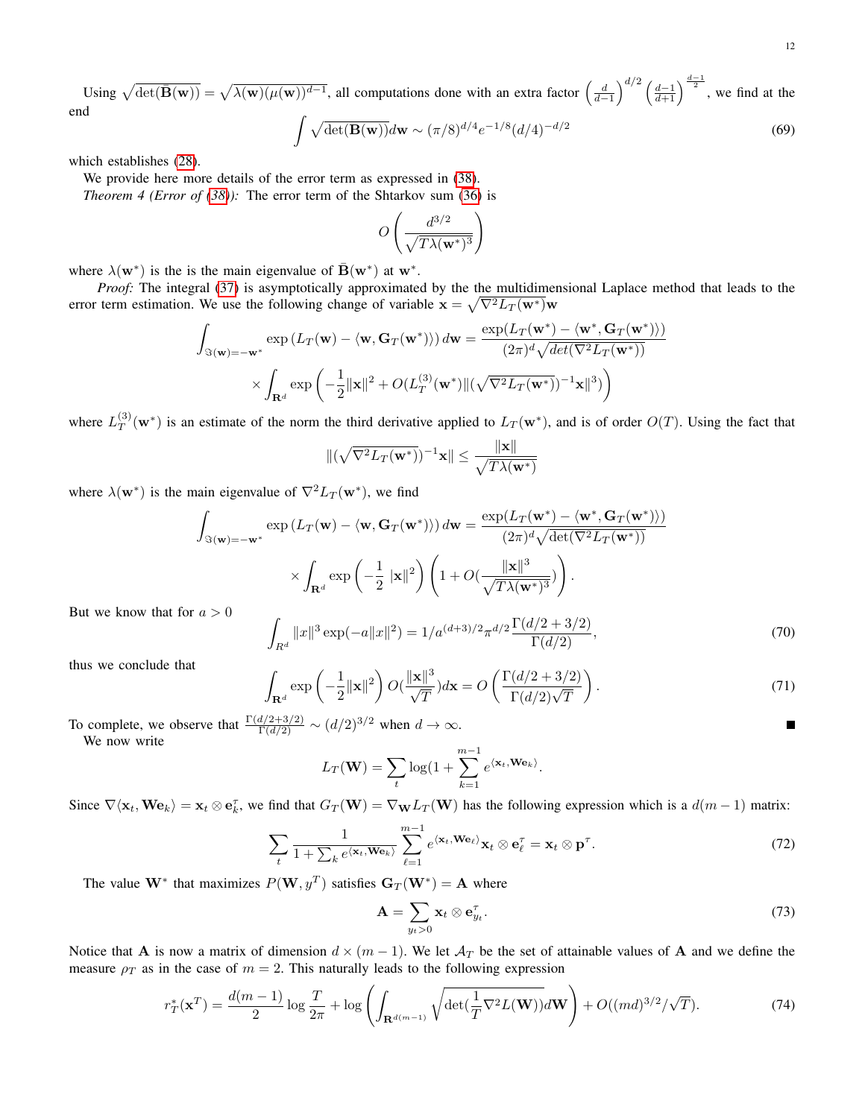<span id="page-11-1"></span>Using  $\sqrt{\det(\mathbf{\bar{B}}(\mathbf{w}))} = \sqrt{\lambda(\mathbf{w})(\mu(\mathbf{w}))^{d-1}}$ , all computations done with an extra factor  $\left(\frac{d}{d-1}\right)^{d/2} \left(\frac{d-1}{d+1}\right)^{\frac{d-1}{2}}$ , we find at the end

$$
\int \sqrt{\det(\mathbf{B}(\mathbf{w}))}d\mathbf{w} \sim (\pi/8)^{d/4} e^{-1/8} (d/4)^{-d/2}
$$
\n(69)

which establishes [\(28\)](#page-6-4).

We provide here more details of the error term as expressed in [\(38\)](#page-7-1). *Theorem 4 (Error of [\(38\)](#page-7-1)):* The error term of the Shtarkov sum [\(36\)](#page-7-0) is

$$
O\left(\frac{d^{3/2}}{\sqrt{T\lambda(\mathbf{w}^*)^3}}\right)
$$

where  $\lambda(\mathbf{w}^*)$  is the is the main eigenvalue of  $\bar{\mathbf{B}}(\mathbf{w}^*)$  at  $\mathbf{w}^*$ .

*Proof:* The integral [\(37\)](#page-7-1) is asymptotically approximated by the the multidimensional Laplace method that leads to the error term estimation. We use the following change of variable  $\mathbf{x} = \sqrt{\nabla^2 L_T (\mathbf{w}^*)} \mathbf{w}$ 

$$
\int_{\Im(\mathbf{w})=-\mathbf{w}^*} \exp\left(L_T(\mathbf{w}) - \langle \mathbf{w}, \mathbf{G}_T(\mathbf{w}^*) \rangle\right) d\mathbf{w} = \frac{\exp(L_T(\mathbf{w}^*) - \langle \mathbf{w}^*, \mathbf{G}_T(\mathbf{w}^*) \rangle)}{(2\pi)^d \sqrt{det(\nabla^2 L_T(\mathbf{w}^*))}}
$$

$$
\times \int_{\mathbf{R}^d} \exp\left(-\frac{1}{2} ||\mathbf{x}||^2 + O(L_T^{(3)}(\mathbf{w}^*) || (\sqrt{\nabla^2 L_T(\mathbf{w}^*)})^{-1} \mathbf{x}||^3)\right)
$$

where  $L_T^{(3)}$  $T(T(T|\mathbf{w}^*))$  is an estimate of the norm the third derivative applied to  $L_T(\mathbf{w}^*)$ , and is of order  $O(T)$ . Using the fact that

$$
\|(\sqrt{\nabla^2 L_T(\mathbf{w}^*)})^{-1}\mathbf{x}\| \le \frac{\|\mathbf{x}\|}{\sqrt{T\lambda(\mathbf{w}^*)}}
$$

where  $\lambda(\mathbf{w}^*)$  is the main eigenvalue of  $\nabla^2 L_T(\mathbf{w}^*)$ , we find

$$
\int_{\Im(\mathbf{w})=-\mathbf{w}^*} \exp\left(L_T(\mathbf{w}) - \langle \mathbf{w}, \mathbf{G}_T(\mathbf{w}^*) \rangle\right) d\mathbf{w} = \frac{\exp(L_T(\mathbf{w}^*) - \langle \mathbf{w}^*, \mathbf{G}_T(\mathbf{w}^*) \rangle)}{(2\pi)^d \sqrt{\det(\nabla^2 L_T(\mathbf{w}^*))}}
$$
\n
$$
\times \int_{\mathbf{R}^d} \exp\left(-\frac{1}{2} \|\mathbf{x}\|^2\right) \left(1 + O\left(\frac{\|\mathbf{x}\|^3}{\sqrt{T\lambda(\mathbf{w}^*)^3}}\right)\right).
$$
\n
$$
a > 0
$$
\n
$$
\int_{\mathbf{R}^d} \|\mathbf{w}\|^3 \le \left(\|\mathbf{w}\|^2\right) \left(1 + \frac{d}{\sqrt{T\lambda(\mathbf{w}^*)^3}} \frac{d}{2} \left(\frac{d}{2} + \frac{3}{2}\right)\right).
$$

But we know that for

$$
\int_{R^d} \|x\|^3 \exp(-a\|x\|^2) = 1/a^{(d+3)/2} \pi^{d/2} \frac{\Gamma(d/2 + 3/2)}{\Gamma(d/2)},\tag{70}
$$

thus we conclude that

<span id="page-11-0"></span>
$$
\int_{\mathbf{R}^d} \exp\left(-\frac{1}{2} \|\mathbf{x}\|^2\right) O(\frac{\|\mathbf{x}\|^3}{\sqrt{T}}) d\mathbf{x} = O\left(\frac{\Gamma(d/2 + 3/2)}{\Gamma(d/2)\sqrt{T}}\right). \tag{71}
$$

To complete, we observe that  $\frac{\Gamma(d/2+3/2)}{\Gamma(d/2)} \sim (d/2)^{3/2}$  when  $d \to \infty$ . We now write

$$
L_T(\mathbf{W}) = \sum_t \log(1 + \sum_{k=1}^{m-1} e^{\langle \mathbf{x}_t, \mathbf{W} \mathbf{e}_k \rangle}.
$$

Since  $\nabla \langle \mathbf{x}_t, \mathbf{W} \mathbf{e}_k \rangle = \mathbf{x}_t \otimes \mathbf{e}_k^{\tau}$ , we find that  $G_T(\mathbf{W}) = \nabla_{\mathbf{W}} L_T(\mathbf{W})$  has the following expression which is a  $d(m-1)$  matrix:

$$
\sum_{t} \frac{1}{1 + \sum_{k} e^{\langle \mathbf{x}_t, \mathbf{W} \mathbf{e}_k \rangle}} \sum_{\ell=1}^{m-1} e^{\langle \mathbf{x}_t, \mathbf{W} \mathbf{e}_\ell \rangle} \mathbf{x}_t \otimes \mathbf{e}_\ell^{\tau} = \mathbf{x}_t \otimes \mathbf{p}^{\tau}.
$$
 (72)

The value  $W^*$  that maximizes  $P(W, y^T)$  satisfies  $G_T(W^*) = A$  where

$$
\mathbf{A} = \sum_{y_t > 0} \mathbf{x}_t \otimes \mathbf{e}_{y_t}^{\tau}.
$$
 (73)

Notice that A is now a matrix of dimension  $d \times (m-1)$ . We let  $\mathcal{A}_T$  be the set of attainable values of A and we define the measure  $\rho_T$  as in the case of  $m = 2$ . This naturally leads to the following expression

$$
r_T^*(\mathbf{x}^T) = \frac{d(m-1)}{2} \log \frac{T}{2\pi} + \log \left( \int_{\mathbf{R}^{d(m-1)}} \sqrt{\det(\frac{1}{T} \nabla^2 L(\mathbf{W}))} d\mathbf{W} \right) + O((md)^{3/2}/\sqrt{T}). \tag{74}
$$

П